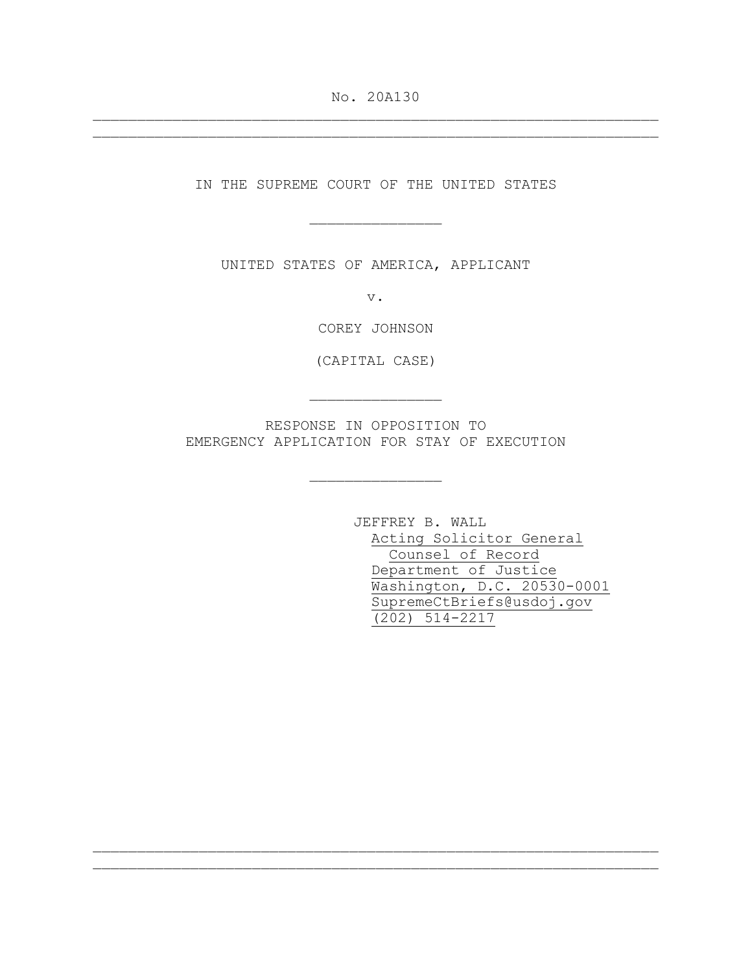No. 20A130 \_\_\_\_\_\_\_\_\_\_\_\_\_\_\_\_\_\_\_\_\_\_\_\_\_\_\_\_\_\_\_\_\_\_\_\_\_\_\_\_\_\_\_\_\_\_\_\_\_\_\_\_\_\_\_\_\_\_\_\_\_\_\_\_

\_\_\_\_\_\_\_\_\_\_\_\_\_\_\_\_\_\_\_\_\_\_\_\_\_\_\_\_\_\_\_\_\_\_\_\_\_\_\_\_\_\_\_\_\_\_\_\_\_\_\_\_\_\_\_\_\_\_\_\_\_\_\_\_

IN THE SUPREME COURT OF THE UNITED STATES

\_\_\_\_\_\_\_\_\_\_\_\_\_\_\_

UNITED STATES OF AMERICA, APPLICANT

v.

COREY JOHNSON

(CAPITAL CASE)

RESPONSE IN OPPOSITION TO EMERGENCY APPLICATION FOR STAY OF EXECUTION

\_\_\_\_\_\_\_\_\_\_\_\_\_\_\_

\_\_\_\_\_\_\_\_\_\_\_\_\_\_\_

\_\_\_\_\_\_\_\_\_\_\_\_\_\_\_\_\_\_\_\_\_\_\_\_\_\_\_\_\_\_\_\_\_\_\_\_\_\_\_\_\_\_\_\_\_\_\_\_\_\_\_\_\_\_\_\_\_\_\_\_\_\_\_\_ \_\_\_\_\_\_\_\_\_\_\_\_\_\_\_\_\_\_\_\_\_\_\_\_\_\_\_\_\_\_\_\_\_\_\_\_\_\_\_\_\_\_\_\_\_\_\_\_\_\_\_\_\_\_\_\_\_\_\_\_\_\_\_\_

JEFFREY B. WALL Acting Solicitor General Counsel of Record Department of Justice Washington, D.C. 20530-0001 SupremeCtBriefs@usdoj.gov (202) 514-2217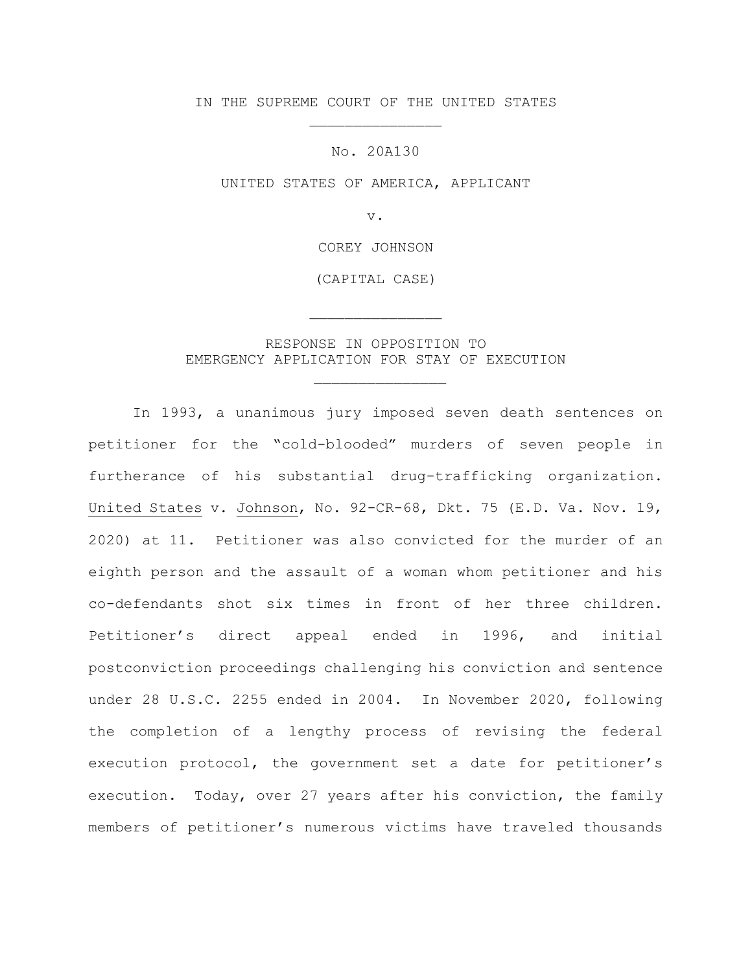IN THE SUPREME COURT OF THE UNITED STATES \_\_\_\_\_\_\_\_\_\_\_\_\_\_\_

No. 20A130

UNITED STATES OF AMERICA, APPLICANT

v.

COREY JOHNSON

(CAPITAL CASE)

\_\_\_\_\_\_\_\_\_\_\_\_\_\_\_

## RESPONSE IN OPPOSITION TO EMERGENCY APPLICATION FOR STAY OF EXECUTION

\_\_\_\_\_\_\_\_\_\_\_\_\_\_\_

In 1993, a unanimous jury imposed seven death sentences on petitioner for the "cold-blooded" murders of seven people in furtherance of his substantial drug-trafficking organization. United States v. Johnson, No. 92-CR-68, Dkt. 75 (E.D. Va. Nov. 19, 2020) at 11. Petitioner was also convicted for the murder of an eighth person and the assault of a woman whom petitioner and his co-defendants shot six times in front of her three children. Petitioner's direct appeal ended in 1996, and initial postconviction proceedings challenging his conviction and sentence under 28 U.S.C. 2255 ended in 2004. In November 2020, following the completion of a lengthy process of revising the federal execution protocol, the government set a date for petitioner's execution. Today, over 27 years after his conviction, the family members of petitioner's numerous victims have traveled thousands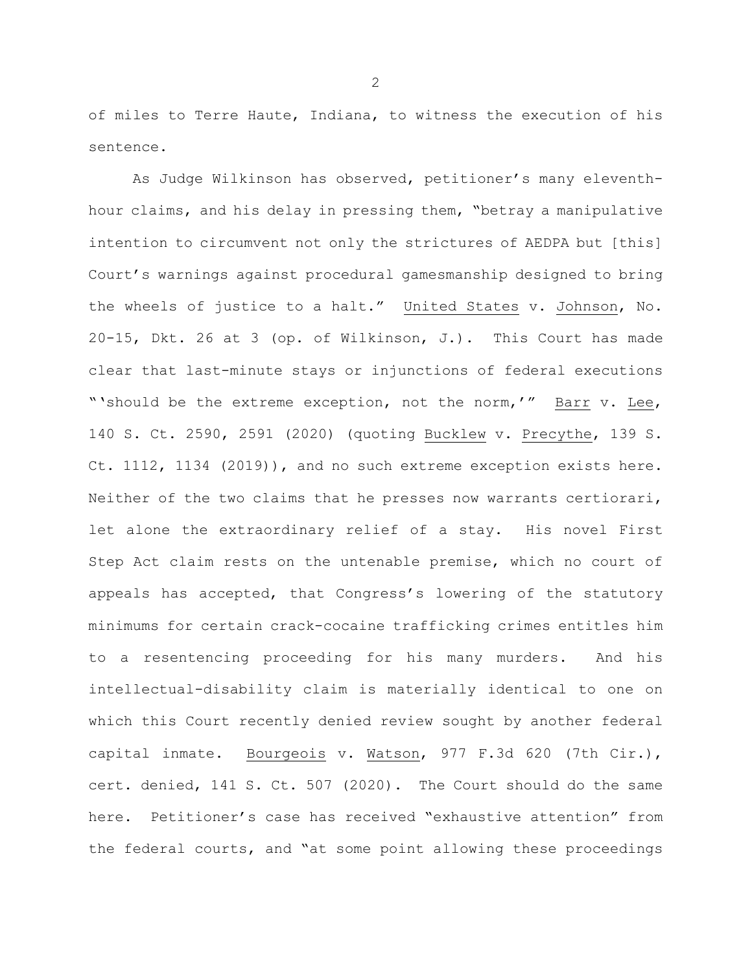of miles to Terre Haute, Indiana, to witness the execution of his sentence.

As Judge Wilkinson has observed, petitioner's many eleventhhour claims, and his delay in pressing them, "betray a manipulative intention to circumvent not only the strictures of AEDPA but [this] Court's warnings against procedural gamesmanship designed to bring the wheels of justice to a halt." United States v. Johnson, No. 20-15, Dkt. 26 at 3 (op. of Wilkinson, J.). This Court has made clear that last-minute stays or injunctions of federal executions "'should be the extreme exception, not the norm,'" Barr v. Lee, 140 S. Ct. 2590, 2591 (2020) (quoting Bucklew v. Precythe, 139 S. Ct. 1112, 1134 (2019)), and no such extreme exception exists here. Neither of the two claims that he presses now warrants certiorari, let alone the extraordinary relief of a stay. His novel First Step Act claim rests on the untenable premise, which no court of appeals has accepted, that Congress's lowering of the statutory minimums for certain crack-cocaine trafficking crimes entitles him to a resentencing proceeding for his many murders. And his intellectual-disability claim is materially identical to one on which this Court recently denied review sought by another federal capital inmate. Bourgeois v. Watson, 977 F.3d 620 (7th Cir.), cert. denied, 141 S. Ct. 507 (2020). The Court should do the same here. Petitioner's case has received "exhaustive attention" from the federal courts, and "at some point allowing these proceedings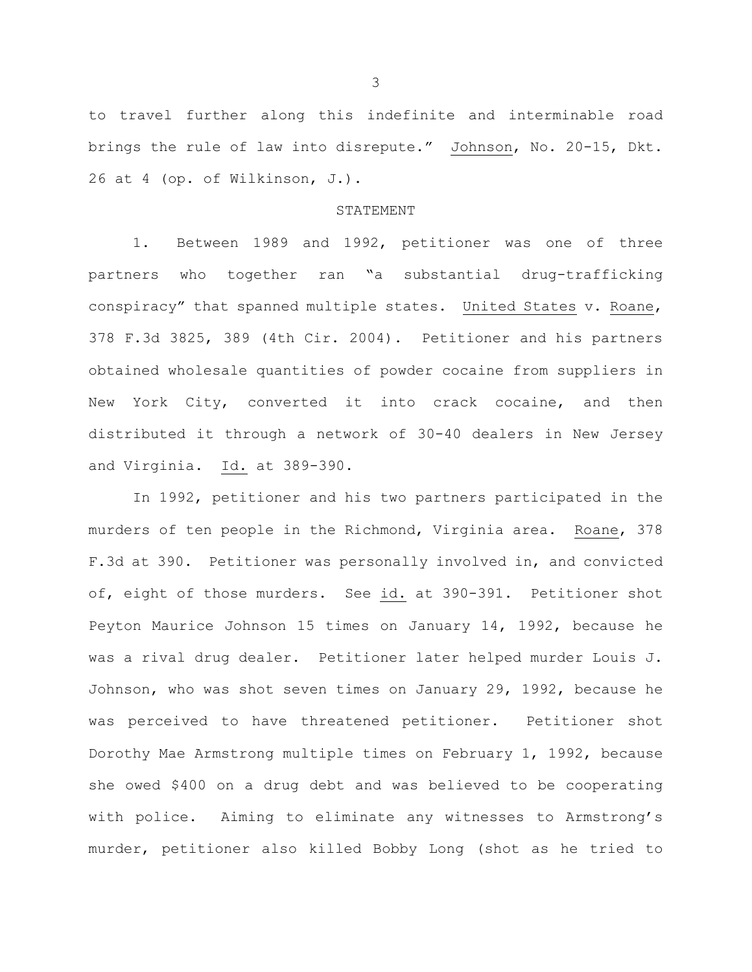to travel further along this indefinite and interminable road brings the rule of law into disrepute." Johnson, No. 20-15, Dkt. 26 at 4 (op. of Wilkinson, J.).

#### STATEMENT

1. Between 1989 and 1992, petitioner was one of three partners who together ran "a substantial drug-trafficking conspiracy" that spanned multiple states. United States v. Roane, 378 F.3d 3825, 389 (4th Cir. 2004). Petitioner and his partners obtained wholesale quantities of powder cocaine from suppliers in New York City, converted it into crack cocaine, and then distributed it through a network of 30-40 dealers in New Jersey and Virginia. Id. at 389-390.

In 1992, petitioner and his two partners participated in the murders of ten people in the Richmond, Virginia area. Roane, 378 F.3d at 390. Petitioner was personally involved in, and convicted of, eight of those murders. See id. at 390-391. Petitioner shot Peyton Maurice Johnson 15 times on January 14, 1992, because he was a rival drug dealer. Petitioner later helped murder Louis J. Johnson, who was shot seven times on January 29, 1992, because he was perceived to have threatened petitioner. Petitioner shot Dorothy Mae Armstrong multiple times on February 1, 1992, because she owed \$400 on a drug debt and was believed to be cooperating with police. Aiming to eliminate any witnesses to Armstrong's murder, petitioner also killed Bobby Long (shot as he tried to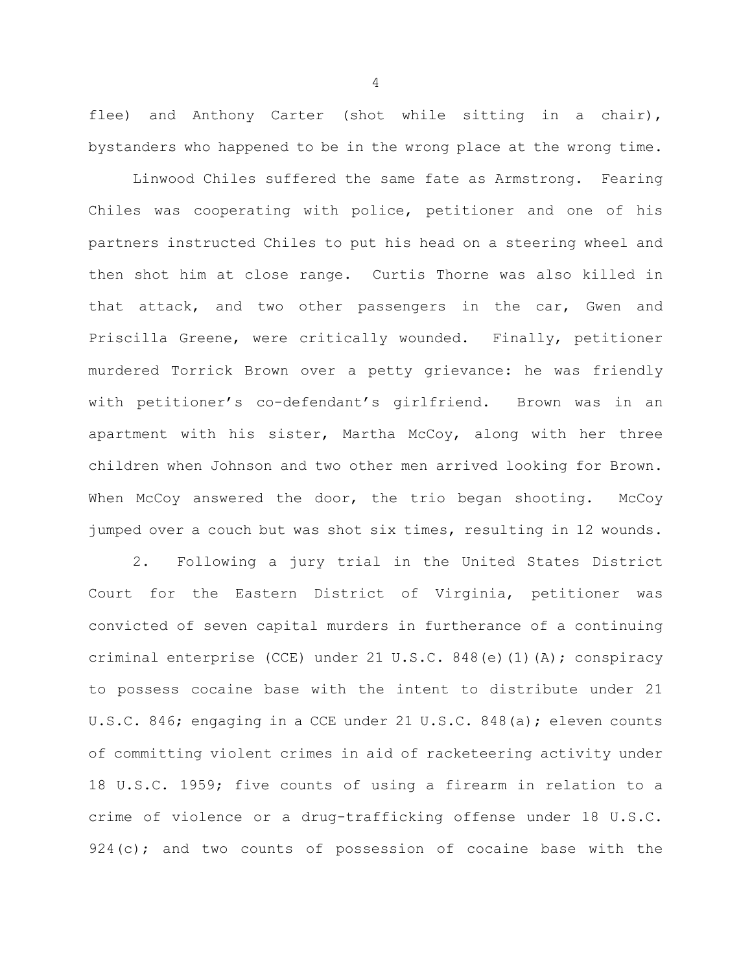flee) and Anthony Carter (shot while sitting in a chair), bystanders who happened to be in the wrong place at the wrong time.

Linwood Chiles suffered the same fate as Armstrong. Fearing Chiles was cooperating with police, petitioner and one of his partners instructed Chiles to put his head on a steering wheel and then shot him at close range. Curtis Thorne was also killed in that attack, and two other passengers in the car, Gwen and Priscilla Greene, were critically wounded. Finally, petitioner murdered Torrick Brown over a petty grievance: he was friendly with petitioner's co-defendant's girlfriend. Brown was in an apartment with his sister, Martha McCoy, along with her three children when Johnson and two other men arrived looking for Brown. When McCoy answered the door, the trio began shooting. McCoy jumped over a couch but was shot six times, resulting in 12 wounds.

2. Following a jury trial in the United States District Court for the Eastern District of Virginia, petitioner was convicted of seven capital murders in furtherance of a continuing criminal enterprise (CCE) under 21 U.S.C. 848(e)(1)(A); conspiracy to possess cocaine base with the intent to distribute under 21 U.S.C. 846; engaging in a CCE under 21 U.S.C. 848(a); eleven counts of committing violent crimes in aid of racketeering activity under 18 U.S.C. 1959; five counts of using a firearm in relation to a crime of violence or a drug-trafficking offense under 18 U.S.C.  $924(c)$ ; and two counts of possession of cocaine base with the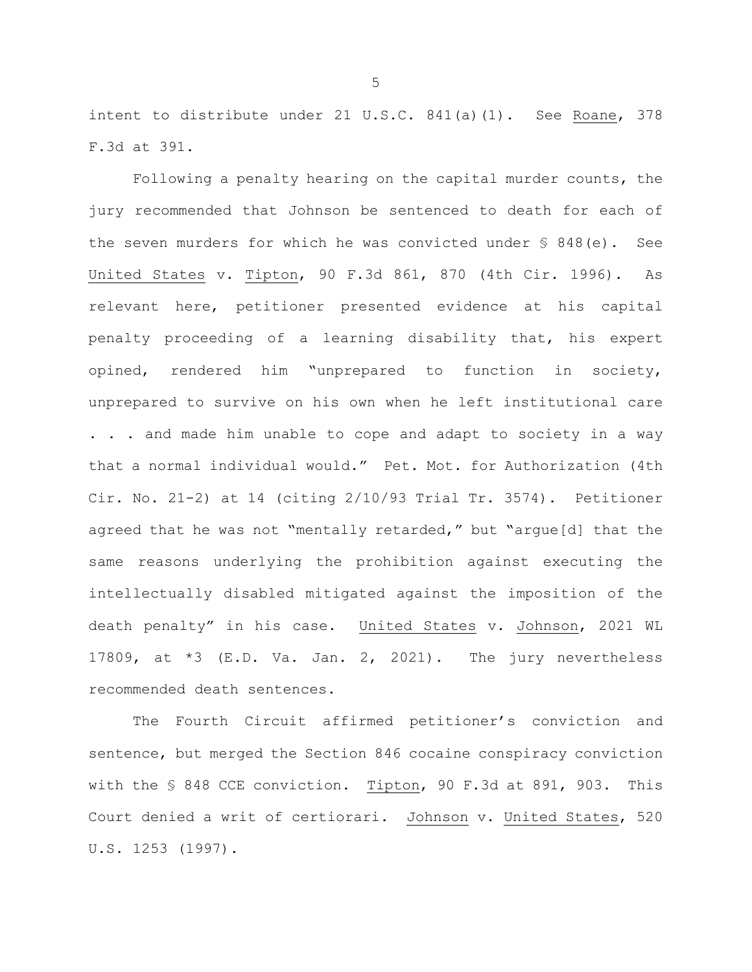intent to distribute under 21 U.S.C. 841(a)(1). See Roane, 378 F.3d at 391.

Following a penalty hearing on the capital murder counts, the jury recommended that Johnson be sentenced to death for each of the seven murders for which he was convicted under § 848(e). See United States v. Tipton, 90 F.3d 861, 870 (4th Cir. 1996). As relevant here, petitioner presented evidence at his capital penalty proceeding of a learning disability that, his expert opined, rendered him "unprepared to function in society, unprepared to survive on his own when he left institutional care . . . and made him unable to cope and adapt to society in a way that a normal individual would." Pet. Mot. for Authorization (4th Cir. No. 21-2) at 14 (citing 2/10/93 Trial Tr. 3574). Petitioner agreed that he was not "mentally retarded," but "argue[d] that the same reasons underlying the prohibition against executing the intellectually disabled mitigated against the imposition of the death penalty" in his case. United States v. Johnson, 2021 WL 17809, at  $*3$  (E.D. Va. Jan. 2, 2021). The jury nevertheless recommended death sentences.

The Fourth Circuit affirmed petitioner's conviction and sentence, but merged the Section 846 cocaine conspiracy conviction with the § 848 CCE conviction. Tipton, 90 F.3d at 891, 903. This Court denied a writ of certiorari. Johnson v. United States, 520 U.S. 1253 (1997).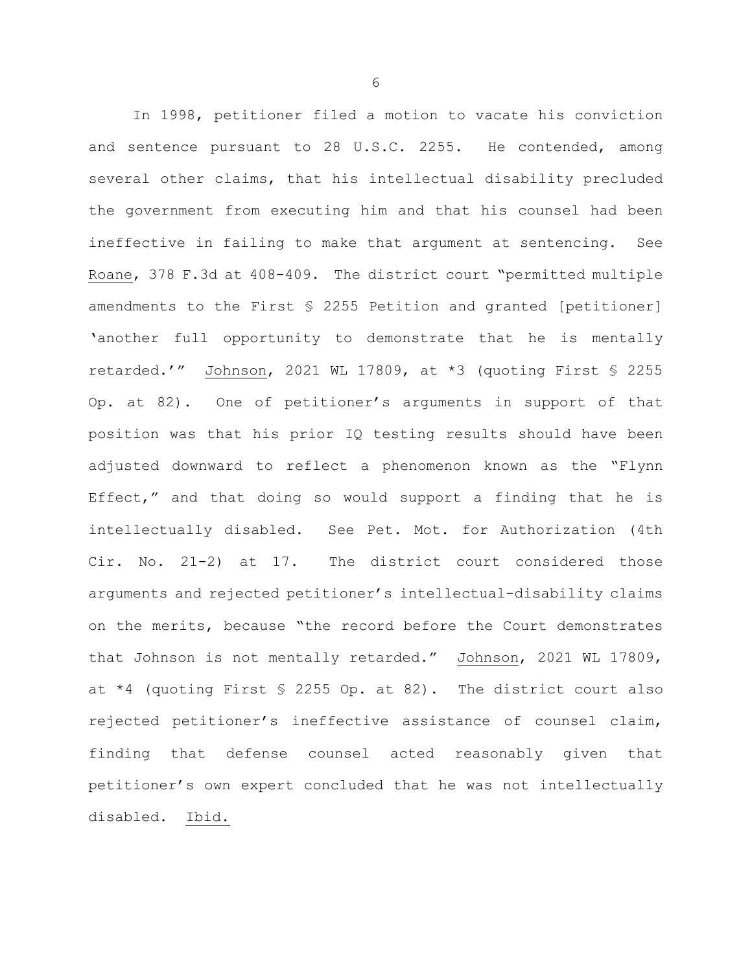In 1998, petitioner filed a motion to vacate his conviction and sentence pursuant to 28 U.S.C. 2255. He contended, among several other claims, that his intellectual disability precluded the government from executing him and that his counsel had been ineffective in failing to make that argument at sentencing. See Roane, 378 F.3d at 408-409. The district court "permitted multiple amendments to the First § 2255 Petition and granted [petitioner] 'another full opportunity to demonstrate that he is mentally retarded.'" Johnson, 2021 WL 17809, at \*3 (quoting First § 2255 Op. at 82). One of petitioner's arguments in support of that position was that his prior IQ testing results should have been adjusted downward to reflect a phenomenon known as the "Flynn Effect," and that doing so would support a finding that he is intellectually disabled. See Pet. Mot. for Authorization (4th Cir. No. 21-2) at 17. The district court considered those arguments and rejected petitioner's intellectual-disability claims on the merits, because "the record before the Court demonstrates that Johnson is not mentally retarded." Johnson, 2021 WL 17809, at  $*4$  (quoting First § 2255 Op. at 82). The district court also rejected petitioner's ineffective assistance of counsel claim, finding that defense counsel acted reasonably given that petitioner's own expert concluded that he was not intellectually disabled. Ibid.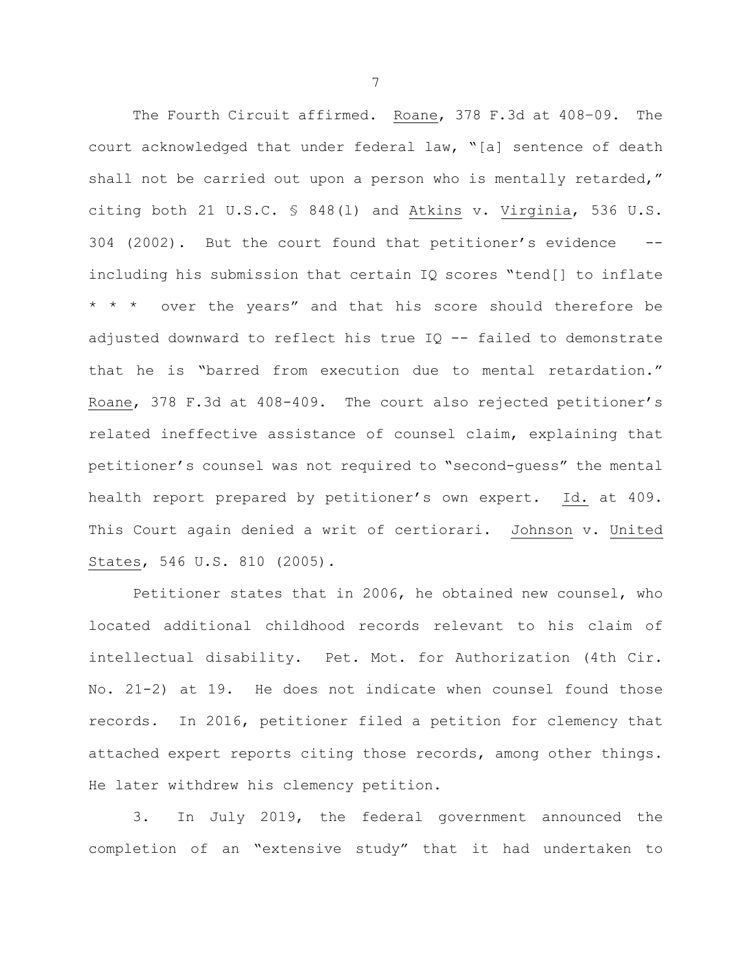The Fourth Circuit affirmed. Roane, 378 F.3d at 408–09. The court acknowledged that under federal law, "[a] sentence of death shall not be carried out upon a person who is mentally retarded," citing both 21 U.S.C. § 848(l) and Atkins v. Virginia, 536 U.S. 304 (2002). But the court found that petitioner's evidence - including his submission that certain IQ scores "tend[] to inflate \* \* \* over the years" and that his score should therefore be adjusted downward to reflect his true  $IQ$  -- failed to demonstrate that he is "barred from execution due to mental retardation." Roane, 378 F.3d at 408-409. The court also rejected petitioner's related ineffective assistance of counsel claim, explaining that petitioner's counsel was not required to "second-guess" the mental health report prepared by petitioner's own expert. Id. at 409. This Court again denied a writ of certiorari. Johnson v. United States, 546 U.S. 810 (2005).

Petitioner states that in 2006, he obtained new counsel, who located additional childhood records relevant to his claim of intellectual disability. Pet. Mot. for Authorization (4th Cir. No. 21-2) at 19. He does not indicate when counsel found those records. In 2016, petitioner filed a petition for clemency that attached expert reports citing those records, among other things. He later withdrew his clemency petition.

3. In July 2019, the federal government announced the completion of an "extensive study" that it had undertaken to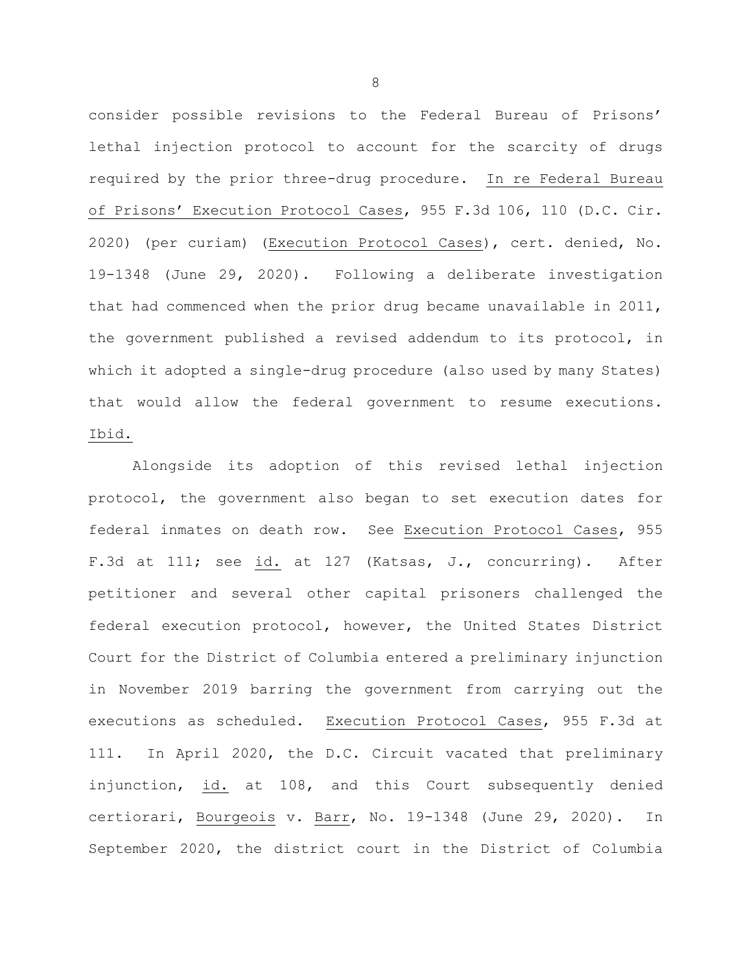consider possible revisions to the Federal Bureau of Prisons' lethal injection protocol to account for the scarcity of drugs required by the prior three-drug procedure. In re Federal Bureau of Prisons' Execution Protocol Cases, 955 F.3d 106, 110 (D.C. Cir. 2020) (per curiam) (Execution Protocol Cases), cert. denied, No. 19-1348 (June 29, 2020). Following a deliberate investigation that had commenced when the prior drug became unavailable in 2011, the government published a revised addendum to its protocol, in which it adopted a single-drug procedure (also used by many States) that would allow the federal government to resume executions. Ibid.

Alongside its adoption of this revised lethal injection protocol, the government also began to set execution dates for federal inmates on death row. See Execution Protocol Cases, 955 F.3d at 111; see id. at 127 (Katsas, J., concurring). After petitioner and several other capital prisoners challenged the federal execution protocol, however, the United States District Court for the District of Columbia entered a preliminary injunction in November 2019 barring the government from carrying out the executions as scheduled. Execution Protocol Cases, 955 F.3d at 111. In April 2020, the D.C. Circuit vacated that preliminary injunction, id. at 108, and this Court subsequently denied certiorari, Bourgeois v. Barr, No. 19-1348 (June 29, 2020). In September 2020, the district court in the District of Columbia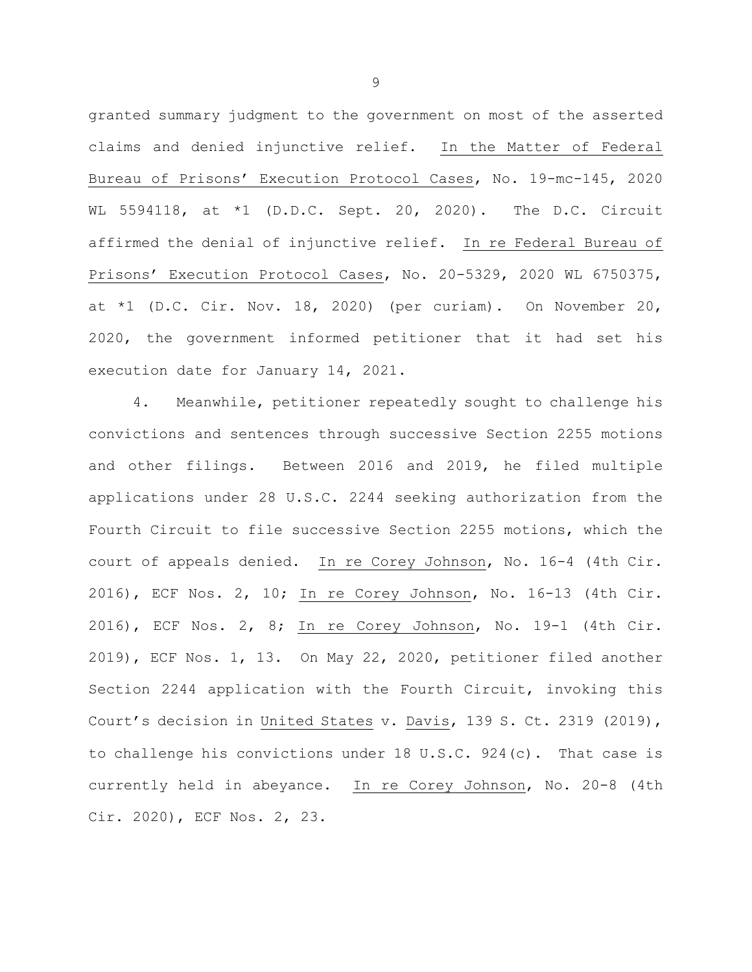granted summary judgment to the government on most of the asserted claims and denied injunctive relief. In the Matter of Federal Bureau of Prisons' Execution Protocol Cases, No. 19-mc-145, 2020 WL 5594118, at \*1 (D.D.C. Sept. 20, 2020). The D.C. Circuit affirmed the denial of injunctive relief. In re Federal Bureau of Prisons' Execution Protocol Cases, No. 20-5329, 2020 WL 6750375, at \*1 (D.C. Cir. Nov. 18, 2020) (per curiam). On November 20, 2020, the government informed petitioner that it had set his execution date for January 14, 2021.

4. Meanwhile, petitioner repeatedly sought to challenge his convictions and sentences through successive Section 2255 motions and other filings. Between 2016 and 2019, he filed multiple applications under 28 U.S.C. 2244 seeking authorization from the Fourth Circuit to file successive Section 2255 motions, which the court of appeals denied. In re Corey Johnson, No. 16-4 (4th Cir. 2016), ECF Nos. 2, 10; In re Corey Johnson, No. 16-13 (4th Cir. 2016), ECF Nos. 2, 8; In re Corey Johnson, No. 19-1 (4th Cir. 2019), ECF Nos. 1, 13. On May 22, 2020, petitioner filed another Section 2244 application with the Fourth Circuit, invoking this Court's decision in United States v. Davis, 139 S. Ct. 2319 (2019), to challenge his convictions under 18 U.S.C.  $924(c)$ . That case is currently held in abeyance. In re Corey Johnson, No. 20-8 (4th Cir. 2020), ECF Nos. 2, 23.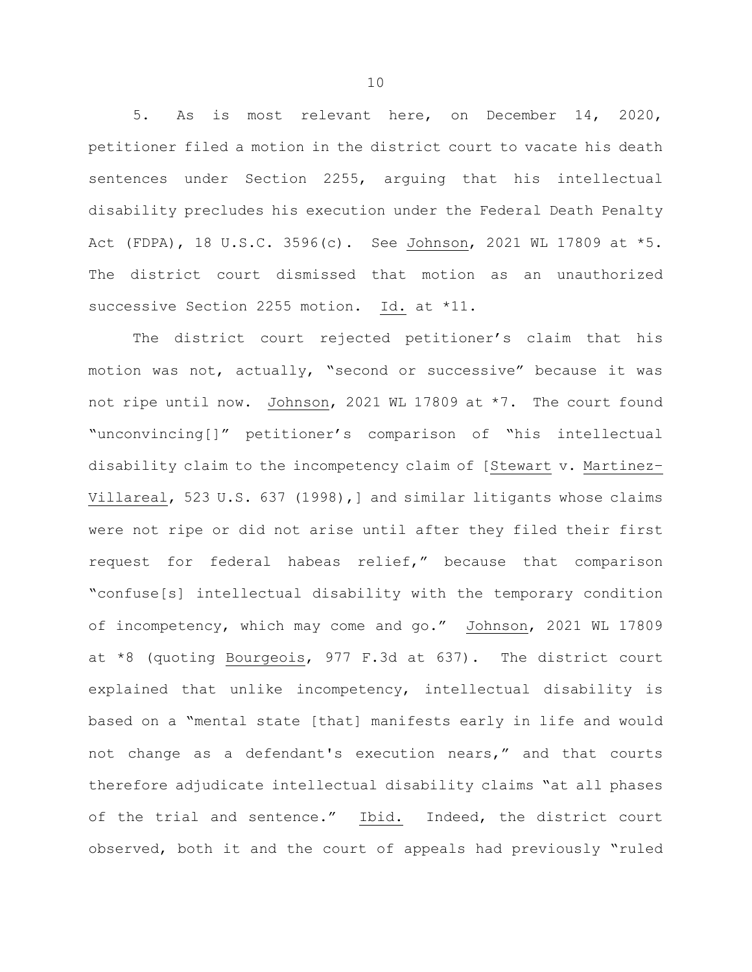5. As is most relevant here, on December 14, 2020, petitioner filed a motion in the district court to vacate his death sentences under Section 2255, arguing that his intellectual disability precludes his execution under the Federal Death Penalty Act (FDPA), 18 U.S.C. 3596(c). See Johnson, 2021 WL 17809 at \*5. The district court dismissed that motion as an unauthorized successive Section 2255 motion. Id. at \*11.

The district court rejected petitioner's claim that his motion was not, actually, "second or successive" because it was not ripe until now. Johnson, 2021 WL 17809 at \*7. The court found "unconvincing[]" petitioner's comparison of "his intellectual disability claim to the incompetency claim of [Stewart v. Martinez– Villareal, 523 U.S. 637 (1998),] and similar litigants whose claims were not ripe or did not arise until after they filed their first request for federal habeas relief," because that comparison "confuse[s] intellectual disability with the temporary condition of incompetency, which may come and go." Johnson, 2021 WL 17809 at \*8 (quoting Bourgeois, 977 F.3d at 637). The district court explained that unlike incompetency, intellectual disability is based on a "mental state [that] manifests early in life and would not change as a defendant's execution nears," and that courts therefore adjudicate intellectual disability claims "at all phases of the trial and sentence." Ibid. Indeed, the district court observed, both it and the court of appeals had previously "ruled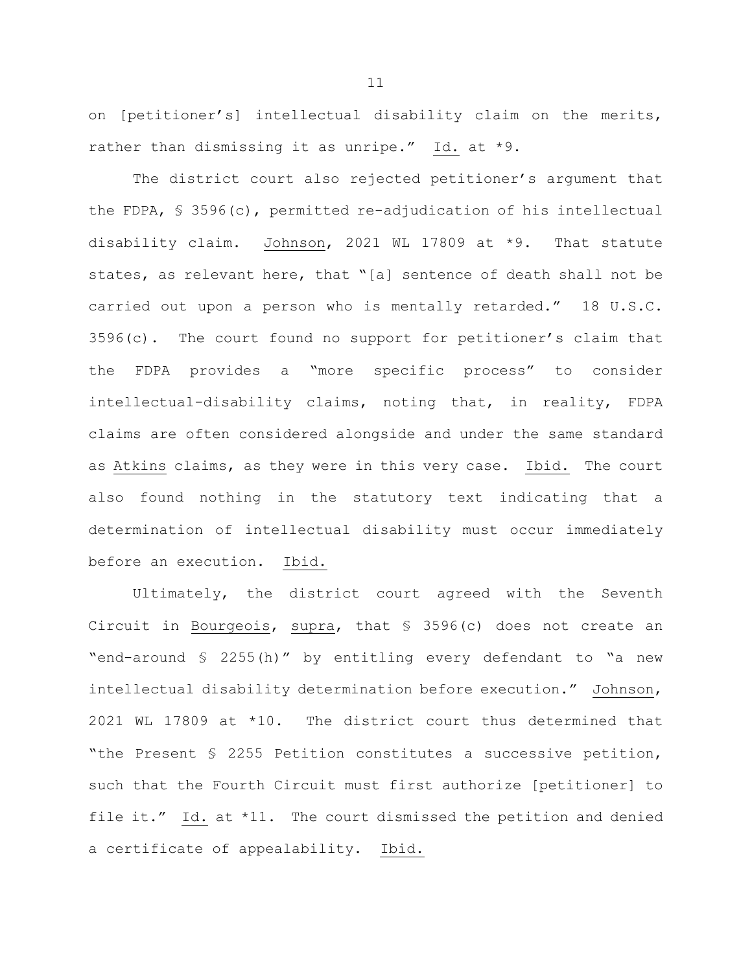on [petitioner's] intellectual disability claim on the merits, rather than dismissing it as unripe." Id. at \*9.

The district court also rejected petitioner's argument that the FDPA, § 3596(c), permitted re-adjudication of his intellectual disability claim. Johnson, 2021 WL 17809 at \*9. That statute states, as relevant here, that "[a] sentence of death shall not be carried out upon a person who is mentally retarded." 18 U.S.C. 3596(c). The court found no support for petitioner's claim that the FDPA provides a "more specific process" to consider intellectual-disability claims, noting that, in reality, FDPA claims are often considered alongside and under the same standard as Atkins claims, as they were in this very case. Ibid. The court also found nothing in the statutory text indicating that a determination of intellectual disability must occur immediately before an execution. Ibid.

Ultimately, the district court agreed with the Seventh Circuit in Bourgeois, supra, that § 3596(c) does not create an "end-around § 2255(h)" by entitling every defendant to "a new intellectual disability determination before execution." Johnson, 2021 WL 17809 at \*10. The district court thus determined that "the Present § 2255 Petition constitutes a successive petition, such that the Fourth Circuit must first authorize [petitioner] to file it." Id. at \*11. The court dismissed the petition and denied a certificate of appealability. Ibid.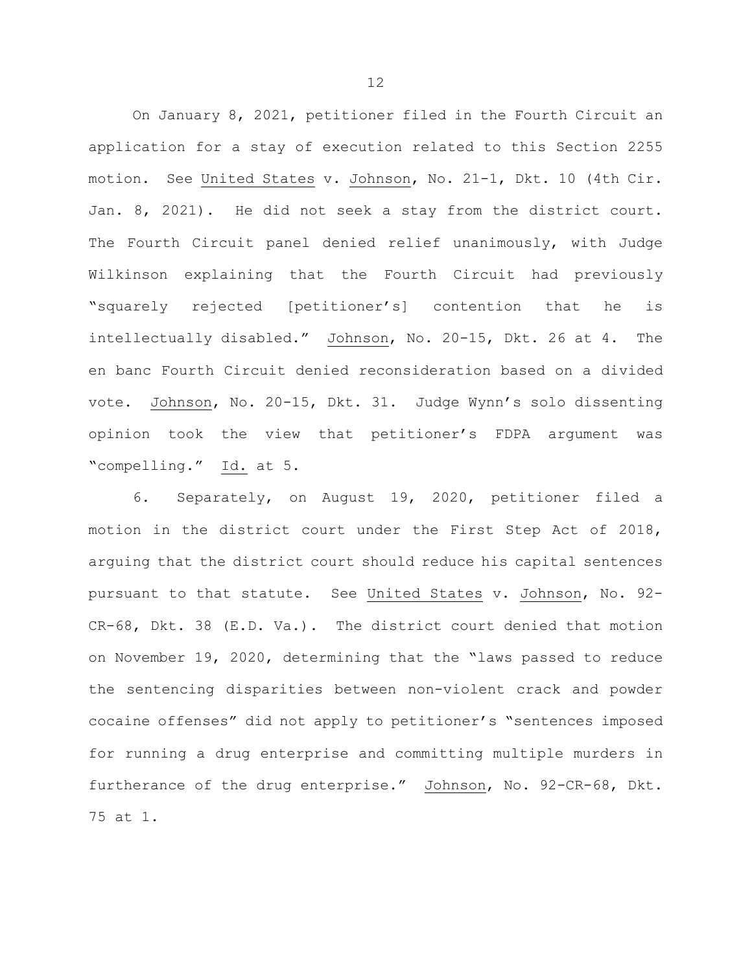On January 8, 2021, petitioner filed in the Fourth Circuit an application for a stay of execution related to this Section 2255 motion. See United States v. Johnson, No. 21-1, Dkt. 10 (4th Cir. Jan. 8, 2021). He did not seek a stay from the district court. The Fourth Circuit panel denied relief unanimously, with Judge Wilkinson explaining that the Fourth Circuit had previously "squarely rejected [petitioner's] contention that he is intellectually disabled." Johnson, No. 20-15, Dkt. 26 at 4. The en banc Fourth Circuit denied reconsideration based on a divided vote. Johnson, No. 20-15, Dkt. 31. Judge Wynn's solo dissenting opinion took the view that petitioner's FDPA argument was "compelling." Id. at 5.

6. Separately, on August 19, 2020, petitioner filed a motion in the district court under the First Step Act of 2018, arguing that the district court should reduce his capital sentences pursuant to that statute. See United States v. Johnson, No. 92- CR-68, Dkt. 38 (E.D. Va.). The district court denied that motion on November 19, 2020, determining that the "laws passed to reduce the sentencing disparities between non-violent crack and powder cocaine offenses" did not apply to petitioner's "sentences imposed for running a drug enterprise and committing multiple murders in furtherance of the drug enterprise." Johnson, No. 92-CR-68, Dkt. 75 at 1.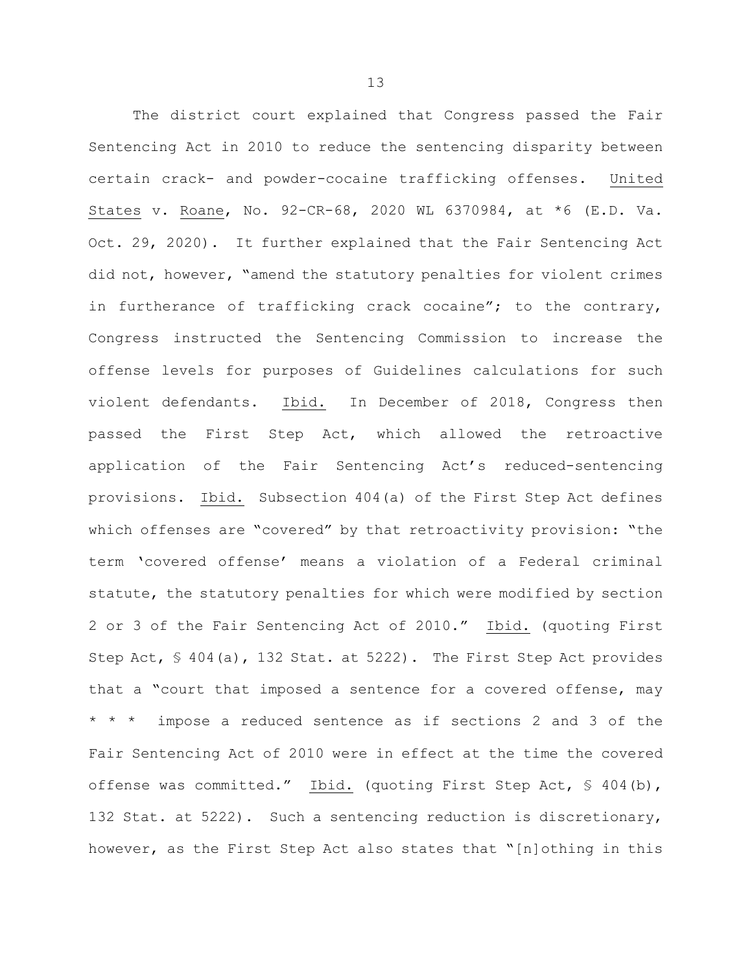The district court explained that Congress passed the Fair Sentencing Act in 2010 to reduce the sentencing disparity between certain crack- and powder-cocaine trafficking offenses. United States v. Roane, No. 92-CR-68, 2020 WL 6370984, at \*6 (E.D. Va. Oct. 29, 2020). It further explained that the Fair Sentencing Act did not, however, "amend the statutory penalties for violent crimes in furtherance of trafficking crack cocaine"; to the contrary, Congress instructed the Sentencing Commission to increase the offense levels for purposes of Guidelines calculations for such violent defendants. Ibid. In December of 2018, Congress then passed the First Step Act, which allowed the retroactive application of the Fair Sentencing Act's reduced-sentencing provisions. Ibid. Subsection 404(a) of the First Step Act defines which offenses are "covered" by that retroactivity provision: "the term 'covered offense' means a violation of a Federal criminal statute, the statutory penalties for which were modified by section 2 or 3 of the Fair Sentencing Act of 2010." Ibid. (quoting First Step Act, § 404(a), 132 Stat. at 5222). The First Step Act provides that a "court that imposed a sentence for a covered offense, may \* \* \* impose a reduced sentence as if sections 2 and 3 of the Fair Sentencing Act of 2010 were in effect at the time the covered offense was committed." Ibid. (quoting First Step Act, § 404(b), 132 Stat. at 5222). Such a sentencing reduction is discretionary, however, as the First Step Act also states that "[n]othing in this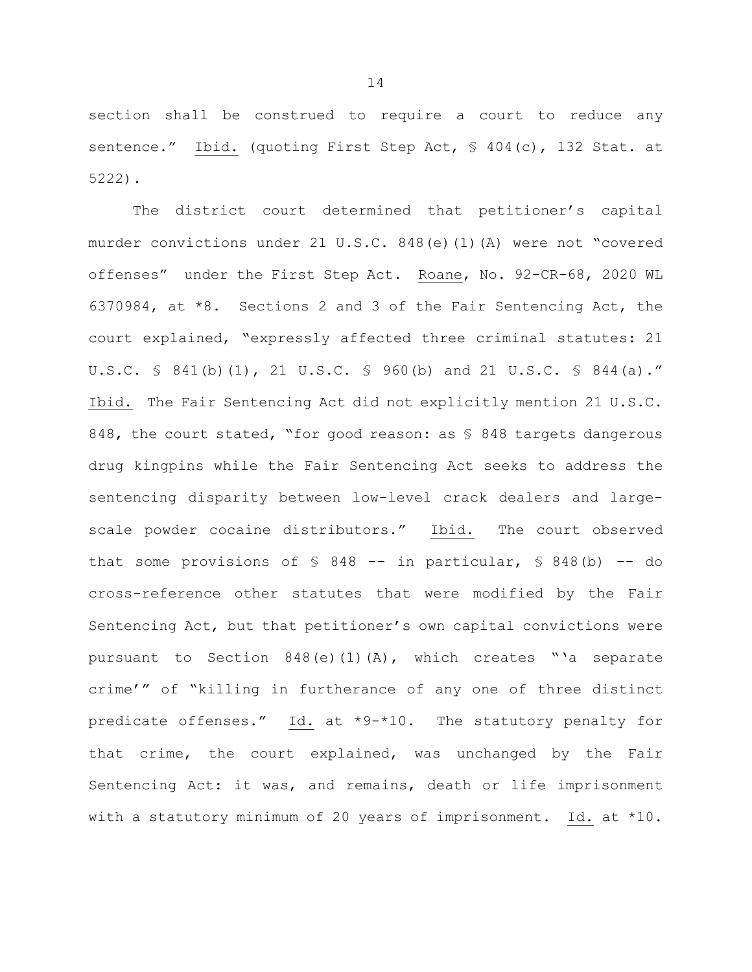section shall be construed to require a court to reduce any sentence." Ibid. (quoting First Step Act, § 404(c), 132 Stat. at 5222).

The district court determined that petitioner's capital murder convictions under 21 U.S.C. 848(e)(1)(A) were not "covered offenses" under the First Step Act. Roane, No. 92-CR-68, 2020 WL 6370984, at \*8. Sections 2 and 3 of the Fair Sentencing Act, the court explained, "expressly affected three criminal statutes: 21 U.S.C. § 841(b)(1), 21 U.S.C. § 960(b) and 21 U.S.C. § 844(a)." Ibid. The Fair Sentencing Act did not explicitly mention 21 U.S.C. 848, the court stated, "for good reason: as \$ 848 targets dangerous drug kingpins while the Fair Sentencing Act seeks to address the sentencing disparity between low-level crack dealers and largescale powder cocaine distributors." Ibid. The court observed that some provisions of  $\S$  848 -- in particular,  $\S$  848(b) -- do cross-reference other statutes that were modified by the Fair Sentencing Act, but that petitioner's own capital convictions were pursuant to Section 848(e)(1)(A), which creates "'a separate crime'" of "killing in furtherance of any one of three distinct predicate offenses." Id. at \*9-\*10. The statutory penalty for that crime, the court explained, was unchanged by the Fair Sentencing Act: it was, and remains, death or life imprisonment with a statutory minimum of 20 years of imprisonment. Id. at \*10.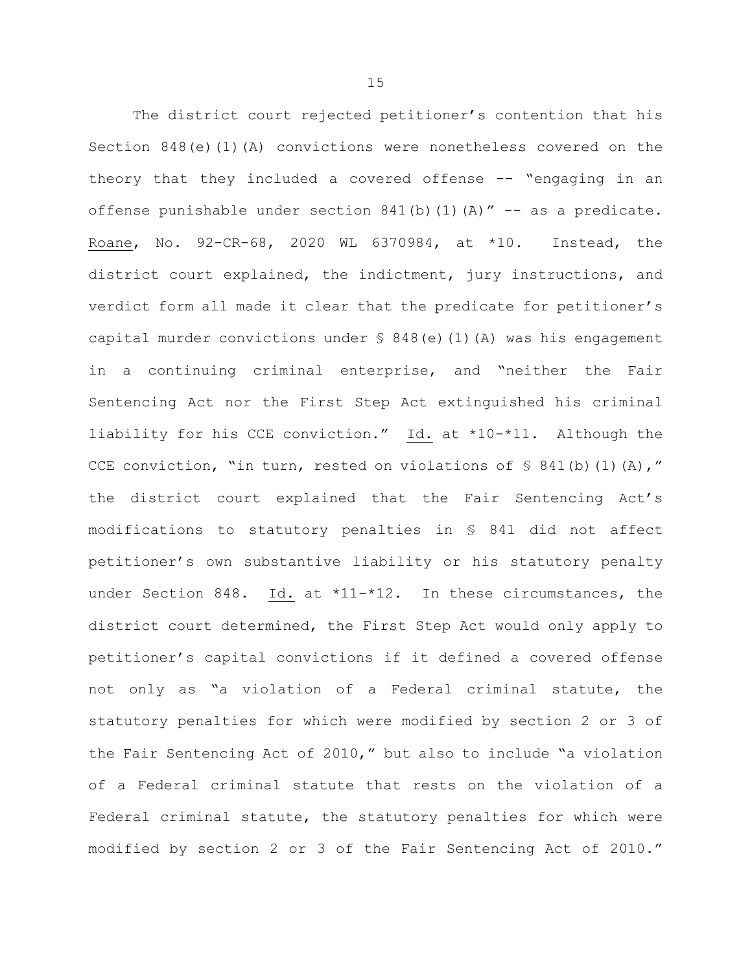The district court rejected petitioner's contention that his Section 848(e)(1)(A) convictions were nonetheless covered on the theory that they included a covered offense -- "engaging in an offense punishable under section  $841(b)(1)(A)''$  -- as a predicate. Roane, No. 92-CR-68, 2020 WL 6370984, at \*10. Instead, the district court explained, the indictment, jury instructions, and verdict form all made it clear that the predicate for petitioner's capital murder convictions under § 848(e)(1)(A) was his engagement in a continuing criminal enterprise, and "neither the Fair Sentencing Act nor the First Step Act extinguished his criminal liability for his CCE conviction." Id. at \*10-\*11. Although the CCE conviction, "in turn, rested on violations of  $\frac{1}{5}$  841(b)(1)(A)," the district court explained that the Fair Sentencing Act's modifications to statutory penalties in § 841 did not affect petitioner's own substantive liability or his statutory penalty under Section 848. Id. at \*11-\*12. In these circumstances, the district court determined, the First Step Act would only apply to petitioner's capital convictions if it defined a covered offense not only as "a violation of a Federal criminal statute, the statutory penalties for which were modified by section 2 or 3 of the Fair Sentencing Act of 2010," but also to include "a violation of a Federal criminal statute that rests on the violation of a Federal criminal statute, the statutory penalties for which were modified by section 2 or 3 of the Fair Sentencing Act of 2010."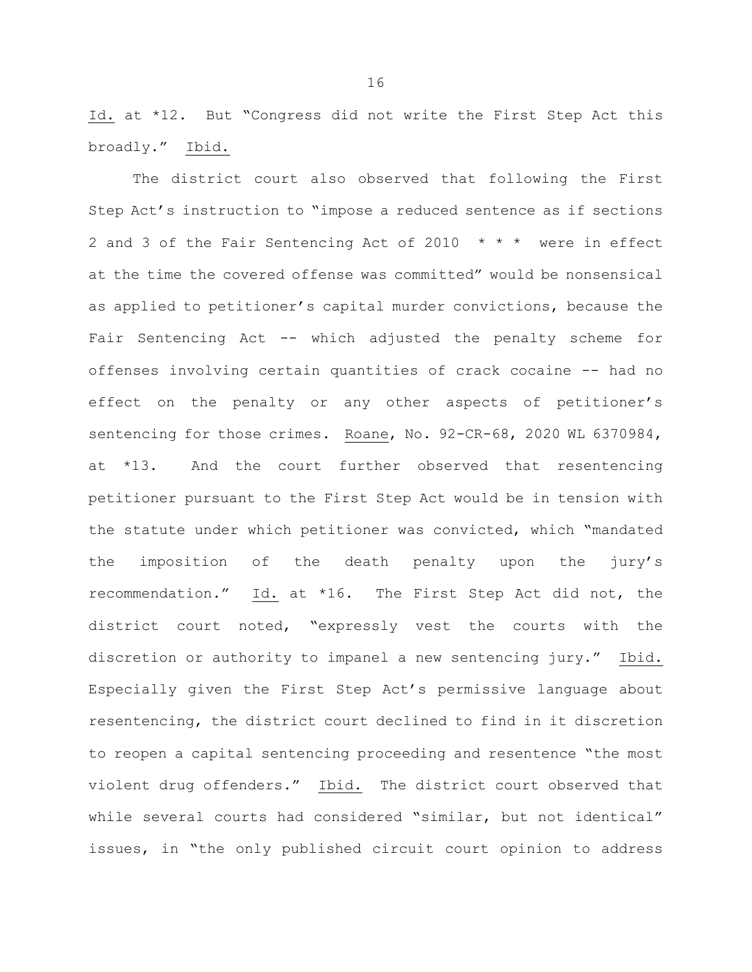Id. at \*12. But "Congress did not write the First Step Act this broadly." Ibid.

The district court also observed that following the First Step Act's instruction to "impose a reduced sentence as if sections 2 and 3 of the Fair Sentencing Act of 2010 \* \* \* were in effect at the time the covered offense was committed" would be nonsensical as applied to petitioner's capital murder convictions, because the Fair Sentencing Act -- which adjusted the penalty scheme for offenses involving certain quantities of crack cocaine -- had no effect on the penalty or any other aspects of petitioner's sentencing for those crimes. Roane, No. 92-CR-68, 2020 WL 6370984, at \*13. And the court further observed that resentencing petitioner pursuant to the First Step Act would be in tension with the statute under which petitioner was convicted, which "mandated the imposition of the death penalty upon the jury's recommendation." Id. at \*16. The First Step Act did not, the district court noted, "expressly vest the courts with the discretion or authority to impanel a new sentencing jury." Ibid. Especially given the First Step Act's permissive language about resentencing, the district court declined to find in it discretion to reopen a capital sentencing proceeding and resentence "the most violent drug offenders." Ibid. The district court observed that while several courts had considered "similar, but not identical" issues, in "the only published circuit court opinion to address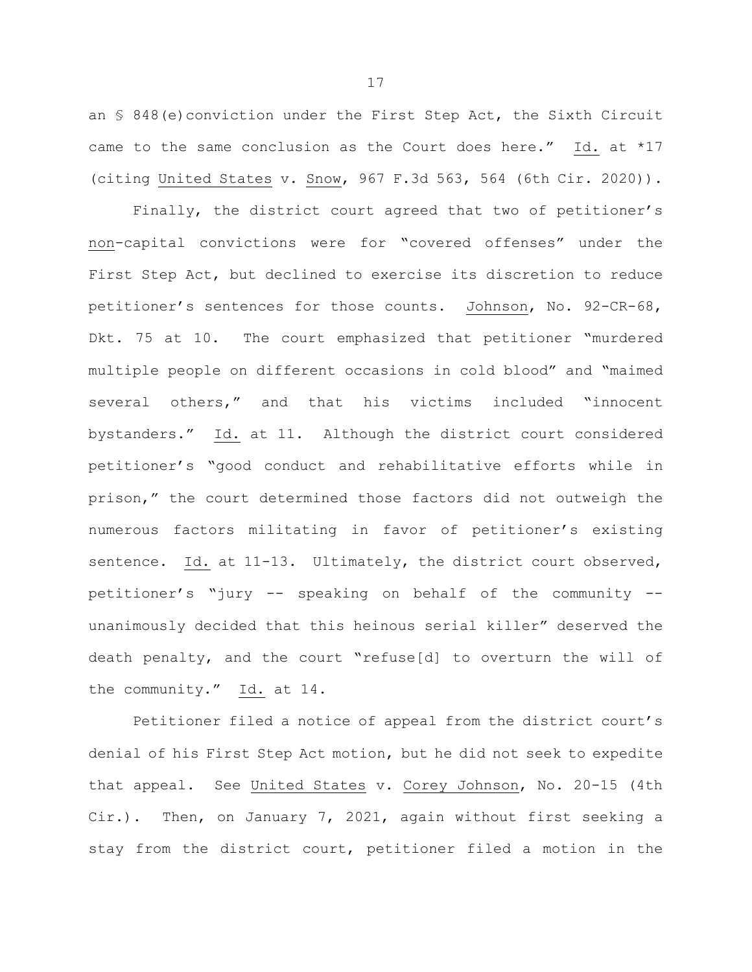an § 848(e)conviction under the First Step Act, the Sixth Circuit came to the same conclusion as the Court does here." Id. at \*17 (citing United States v. Snow, 967 F.3d 563, 564 (6th Cir. 2020)).

Finally, the district court agreed that two of petitioner's non-capital convictions were for "covered offenses" under the First Step Act, but declined to exercise its discretion to reduce petitioner's sentences for those counts. Johnson, No. 92-CR-68, Dkt. 75 at 10. The court emphasized that petitioner "murdered multiple people on different occasions in cold blood" and "maimed several others," and that his victims included "innocent bystanders." Id. at 11. Although the district court considered petitioner's "good conduct and rehabilitative efforts while in prison," the court determined those factors did not outweigh the numerous factors militating in favor of petitioner's existing sentence. Id. at 11-13. Ultimately, the district court observed, petitioner's "jury -- speaking on behalf of the community - unanimously decided that this heinous serial killer" deserved the death penalty, and the court "refuse[d] to overturn the will of the community." Id. at 14.

Petitioner filed a notice of appeal from the district court's denial of his First Step Act motion, but he did not seek to expedite that appeal. See United States v. Corey Johnson, No. 20-15 (4th Cir.). Then, on January 7, 2021, again without first seeking a stay from the district court, petitioner filed a motion in the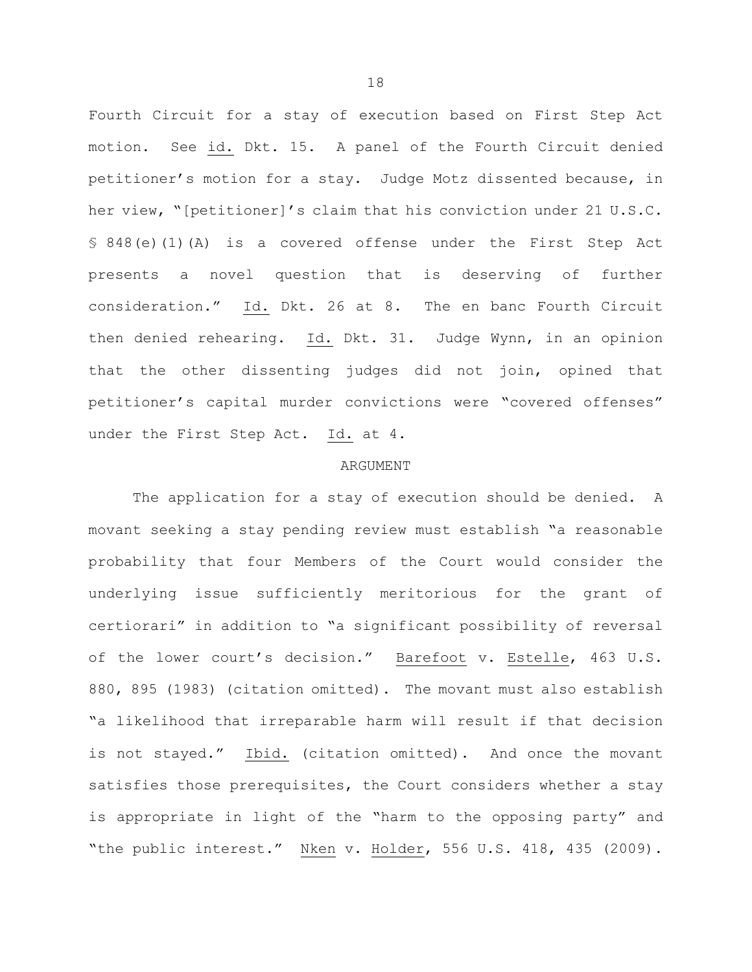Fourth Circuit for a stay of execution based on First Step Act motion. See id. Dkt. 15. A panel of the Fourth Circuit denied petitioner's motion for a stay. Judge Motz dissented because, in her view, "[petitioner]'s claim that his conviction under 21 U.S.C. § 848(e)(1)(A) is a covered offense under the First Step Act presents a novel question that is deserving of further consideration." Id. Dkt. 26 at 8. The en banc Fourth Circuit then denied rehearing. Id. Dkt. 31. Judge Wynn, in an opinion that the other dissenting judges did not join, opined that petitioner's capital murder convictions were "covered offenses" under the First Step Act. Id. at 4.

### ARGUMENT

The application for a stay of execution should be denied. A movant seeking a stay pending review must establish "a reasonable probability that four Members of the Court would consider the underlying issue sufficiently meritorious for the grant of certiorari" in addition to "a significant possibility of reversal of the lower court's decision." Barefoot v. Estelle, 463 U.S. 880, 895 (1983) (citation omitted). The movant must also establish "a likelihood that irreparable harm will result if that decision is not stayed." Ibid. (citation omitted). And once the movant satisfies those prerequisites, the Court considers whether a stay is appropriate in light of the "harm to the opposing party" and "the public interest." Nken v. Holder, 556 U.S. 418, 435 (2009).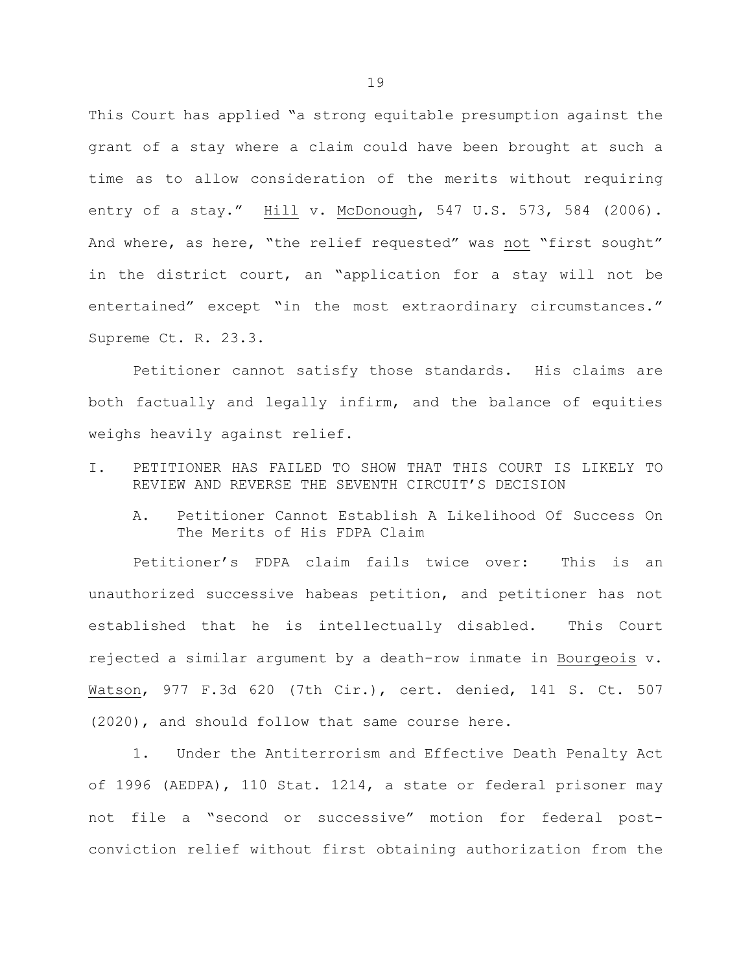This Court has applied "a strong equitable presumption against the grant of a stay where a claim could have been brought at such a time as to allow consideration of the merits without requiring entry of a stay." Hill v. McDonough, 547 U.S. 573, 584 (2006). And where, as here, "the relief requested" was not "first sought" in the district court, an "application for a stay will not be entertained" except "in the most extraordinary circumstances." Supreme Ct. R. 23.3.

Petitioner cannot satisfy those standards. His claims are both factually and legally infirm, and the balance of equities weighs heavily against relief.

- I. PETITIONER HAS FAILED TO SHOW THAT THIS COURT IS LIKELY TO REVIEW AND REVERSE THE SEVENTH CIRCUIT'S DECISION
	- A. Petitioner Cannot Establish A Likelihood Of Success On The Merits of His FDPA Claim

Petitioner's FDPA claim fails twice over: This is an unauthorized successive habeas petition, and petitioner has not established that he is intellectually disabled. This Court rejected a similar argument by a death-row inmate in Bourgeois v. Watson, 977 F.3d 620 (7th Cir.), cert. denied, 141 S. Ct. 507 (2020), and should follow that same course here.

1. Under the Antiterrorism and Effective Death Penalty Act of 1996 (AEDPA), 110 Stat. 1214, a state or federal prisoner may not file a "second or successive" motion for federal postconviction relief without first obtaining authorization from the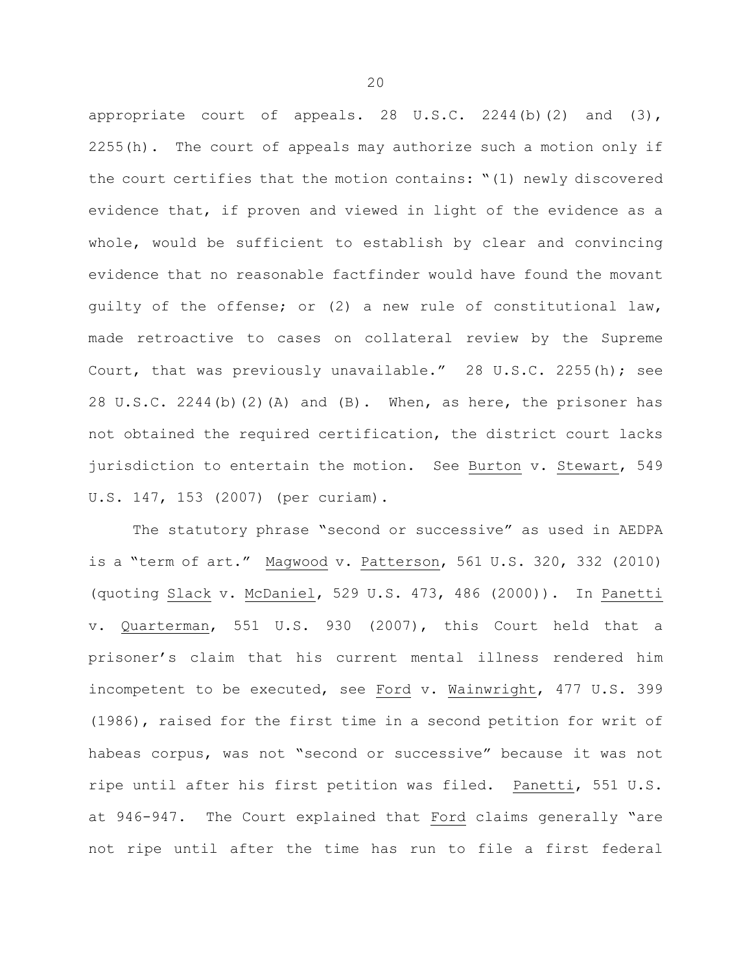appropriate court of appeals. 28 U.S.C. 2244(b)(2) and (3), 2255(h). The court of appeals may authorize such a motion only if the court certifies that the motion contains: "(1) newly discovered evidence that, if proven and viewed in light of the evidence as a whole, would be sufficient to establish by clear and convincing evidence that no reasonable factfinder would have found the movant guilty of the offense; or (2) a new rule of constitutional law, made retroactive to cases on collateral review by the Supreme Court, that was previously unavailable." 28 U.S.C. 2255(h); see 28 U.S.C. 2244(b)(2)(A) and (B). When, as here, the prisoner has not obtained the required certification, the district court lacks jurisdiction to entertain the motion. See Burton v. Stewart, 549 U.S. 147, 153 (2007) (per curiam).

The statutory phrase "second or successive" as used in AEDPA is a "term of art." Magwood v. Patterson, 561 U.S. 320, 332 (2010) (quoting Slack v. McDaniel, 529 U.S. 473, 486 (2000)). In Panetti v. Quarterman, 551 U.S. 930 (2007), this Court held that a prisoner's claim that his current mental illness rendered him incompetent to be executed, see Ford v. Wainwright, 477 U.S. 399 (1986), raised for the first time in a second petition for writ of habeas corpus, was not "second or successive" because it was not ripe until after his first petition was filed. Panetti, 551 U.S. at 946-947. The Court explained that Ford claims generally "are not ripe until after the time has run to file a first federal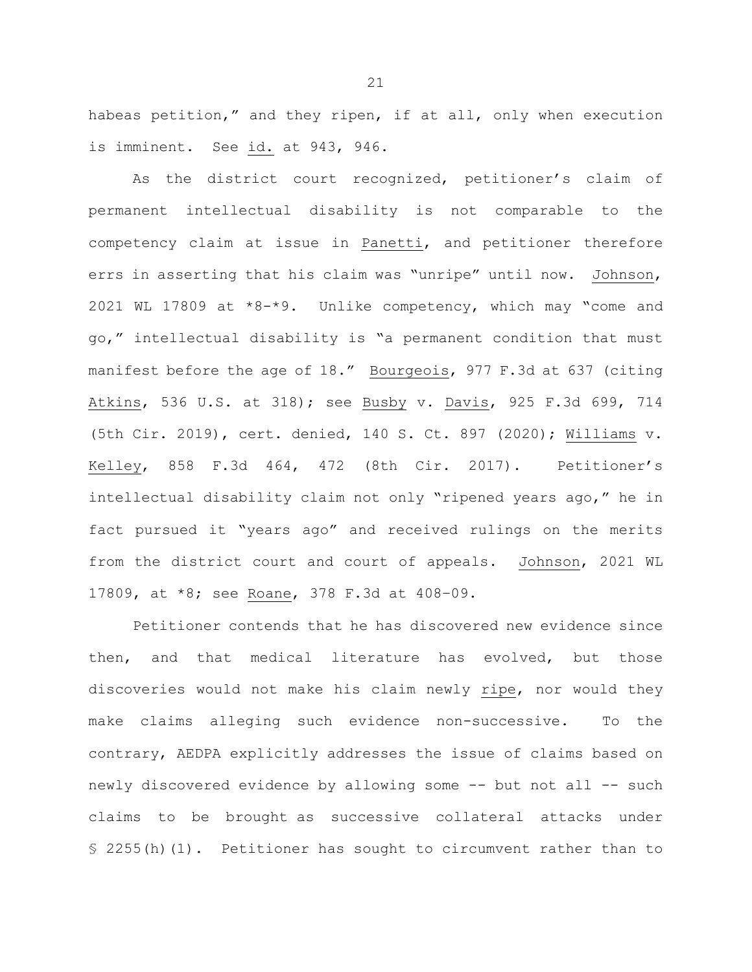habeas petition," and they ripen, if at all, only when execution is imminent. See id. at 943, 946.

As the district court recognized, petitioner's claim of permanent intellectual disability is not comparable to the competency claim at issue in Panetti, and petitioner therefore errs in asserting that his claim was "unripe" until now. Johnson, 2021 WL 17809 at \*8-\*9. Unlike competency, which may "come and go," intellectual disability is "a permanent condition that must manifest before the age of 18." Bourgeois, 977 F.3d at 637 (citing Atkins, 536 U.S. at 318); see Busby v. Davis, 925 F.3d 699, 714 (5th Cir. 2019), cert. denied, 140 S. Ct. 897 (2020); Williams v. Kelley, 858 F.3d 464, 472 (8th Cir. 2017). Petitioner's intellectual disability claim not only "ripened years ago," he in fact pursued it "years ago" and received rulings on the merits from the district court and court of appeals.Johnson, 2021 WL 17809, at \*8; see Roane, 378 F.3d at 408–09.

Petitioner contends that he has discovered new evidence since then, and that medical literature has evolved, but those discoveries would not make his claim newly ripe, nor would they make claims alleging such evidence non-successive. To the contrary, AEDPA explicitly addresses the issue of claims based on newly discovered evidence by allowing some -- but not all -- such claims to be brought as successive collateral attacks under § 2255(h)(1). Petitioner has sought to circumvent rather than to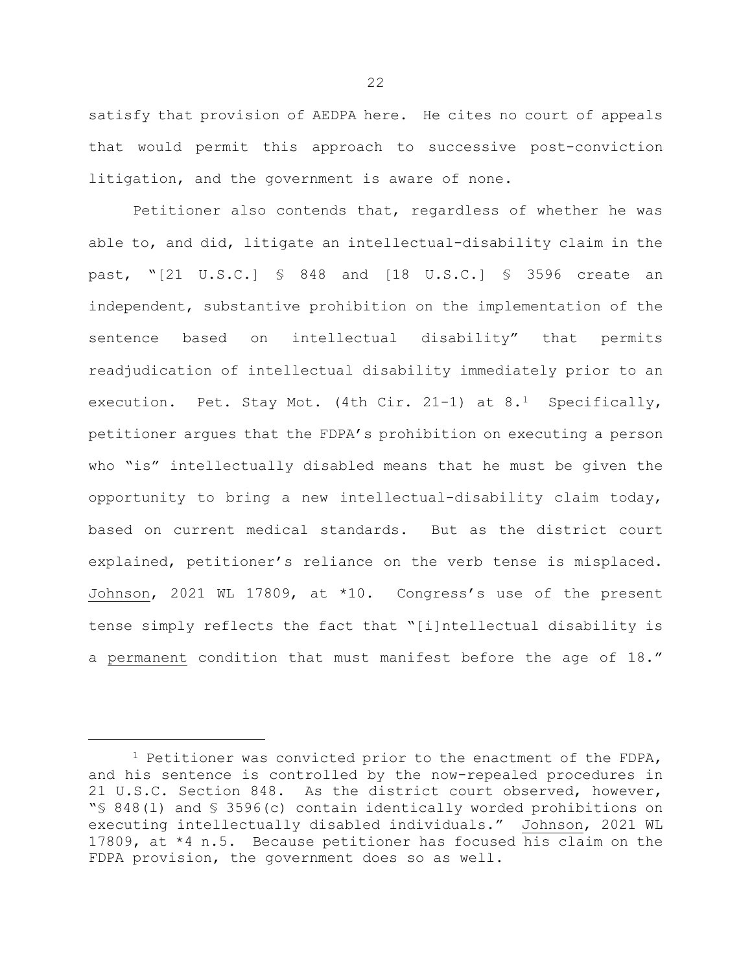satisfy that provision of AEDPA here. He cites no court of appeals that would permit this approach to successive post-conviction litigation, and the government is aware of none.

Petitioner also contends that, regardless of whether he was able to, and did, litigate an intellectual-disability claim in the past, "[21 U.S.C.] § 848 and [18 U.S.C.] § 3596 create an independent, substantive prohibition on the implementation of the sentence based on intellectual disability" that permits readjudication of intellectual disability immediately prior to an execution. Pet. Stay Mot. (4th Cir. 2[1](#page-22-0)-1) at  $8.1$  Specifically, petitioner argues that the FDPA's prohibition on executing a person who "is" intellectually disabled means that he must be given the opportunity to bring a new intellectual-disability claim today, based on current medical standards. But as the district court explained, petitioner's reliance on the verb tense is misplaced. Johnson, 2021 WL 17809, at \*10. Congress's use of the present tense simply reflects the fact that "[i]ntellectual disability is a permanent condition that must manifest before the age of 18."

ī

<span id="page-22-0"></span><sup>&</sup>lt;sup>1</sup> Petitioner was convicted prior to the enactment of the FDPA, and his sentence is controlled by the now-repealed procedures in 21 U.S.C. Section 848. As the district court observed, however, "§ 848(l) and § 3596(c) contain identically worded prohibitions on executing intellectually disabled individuals." Johnson, 2021 WL 17809, at \*4 n.5. Because petitioner has focused his claim on the FDPA provision, the government does so as well.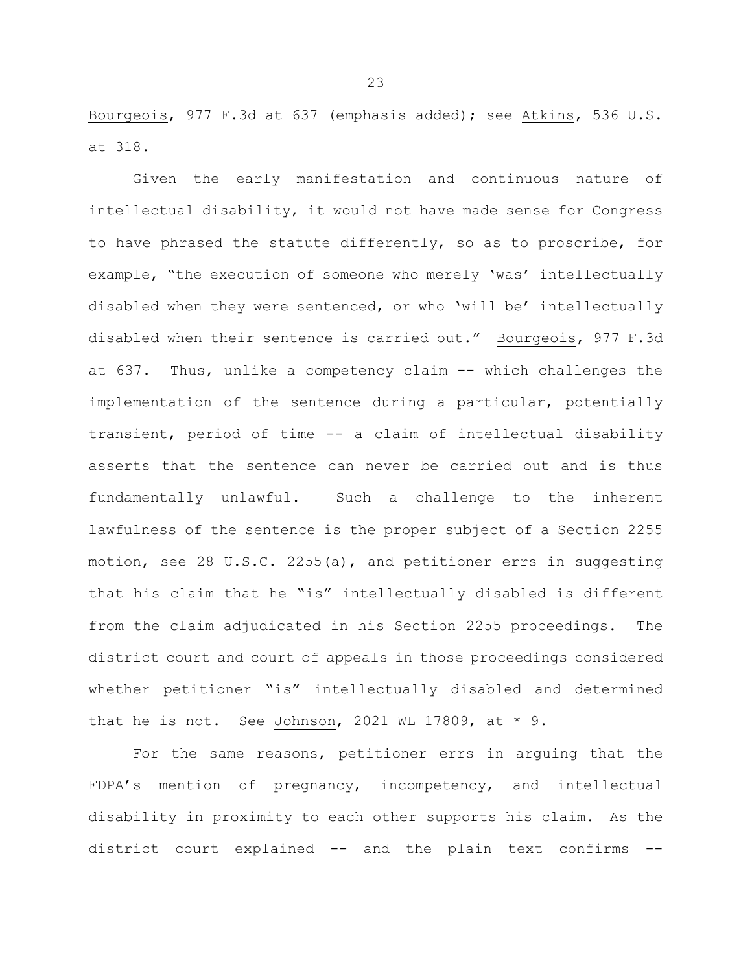Bourgeois, 977 F.3d at 637 (emphasis added); see Atkins, 536 U.S. at 318.

Given the early manifestation and continuous nature of intellectual disability, it would not have made sense for Congress to have phrased the statute differently, so as to proscribe, for example, "the execution of someone who merely 'was' intellectually disabled when they were sentenced, or who 'will be' intellectually disabled when their sentence is carried out." Bourgeois, 977 F.3d at 637. Thus, unlike a competency claim -- which challenges the implementation of the sentence during a particular, potentially transient, period of time -- a claim of intellectual disability asserts that the sentence can never be carried out and is thus fundamentally unlawful. Such a challenge to the inherent lawfulness of the sentence is the proper subject of a Section 2255 motion, see 28 U.S.C. 2255(a), and petitioner errs in suggesting that his claim that he "is" intellectually disabled is different from the claim adjudicated in his Section 2255 proceedings. The district court and court of appeals in those proceedings considered whether petitioner "is" intellectually disabled and determined that he is not. See Johnson, 2021 WL 17809, at  $*$  9.

For the same reasons, petitioner errs in arguing that the FDPA's mention of pregnancy, incompetency, and intellectual disability in proximity to each other supports his claim. As the district court explained -- and the plain text confirms --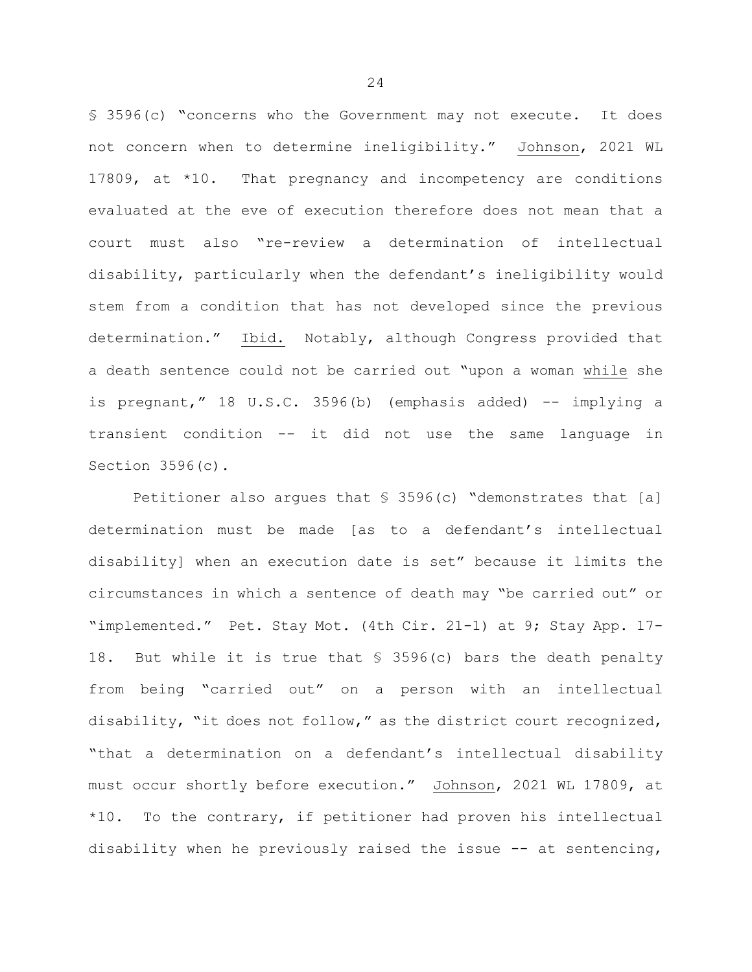§ 3596(c) "concerns who the Government may not execute. It does not concern when to determine ineligibility." Johnson, 2021 WL 17809, at \*10. That pregnancy and incompetency are conditions evaluated at the eve of execution therefore does not mean that a court must also "re-review a determination of intellectual disability, particularly when the defendant's ineligibility would stem from a condition that has not developed since the previous determination." Ibid. Notably, although Congress provided that a death sentence could not be carried out "upon a woman while she is pregnant," 18 U.S.C. 3596(b) (emphasis added) -- implying a transient condition -- it did not use the same language in Section 3596(c).

Petitioner also argues that § 3596(c) "demonstrates that [a] determination must be made [as to a defendant's intellectual disability] when an execution date is set" because it limits the circumstances in which a sentence of death may "be carried out" or "implemented." Pet. Stay Mot. (4th Cir. 21-1) at 9; Stay App. 17- 18. But while it is true that § 3596(c) bars the death penalty from being "carried out" on a person with an intellectual disability, "it does not follow," as the district court recognized, "that a determination on a defendant's intellectual disability must occur shortly before execution." Johnson, 2021 WL 17809, at \*10. To the contrary, if petitioner had proven his intellectual disability when he previously raised the issue  $-$ - at sentencing,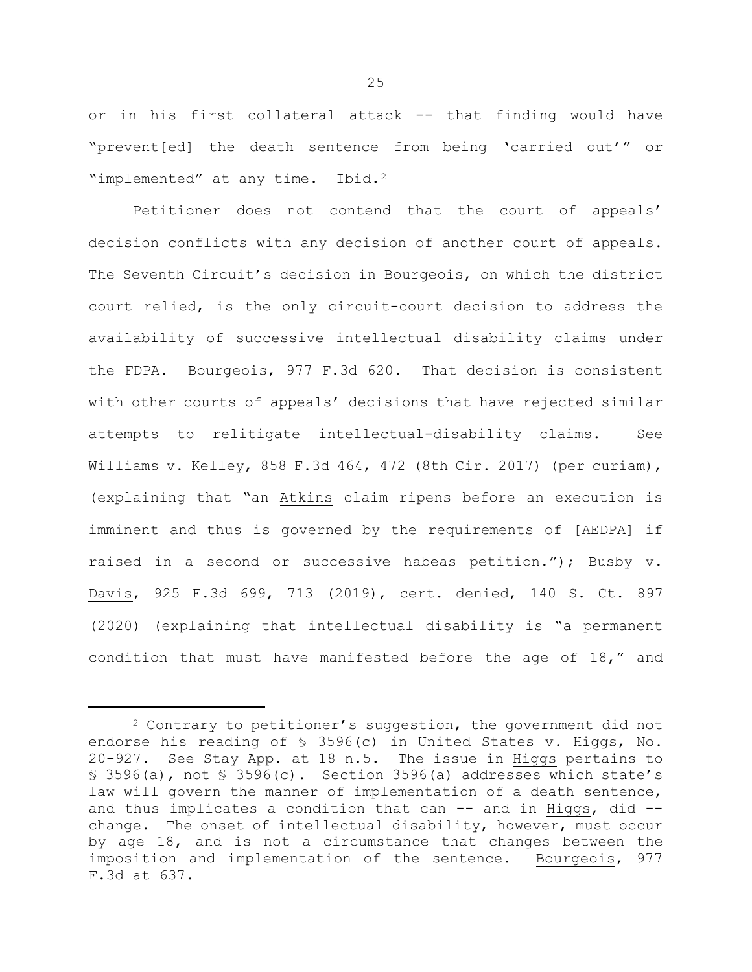or in his first collateral attack -- that finding would have "prevent[ed] the death sentence from being 'carried out'" or "implemented" at any time. Ibid.<sup>[2](#page-25-0)</sup>

Petitioner does not contend that the court of appeals' decision conflicts with any decision of another court of appeals. The Seventh Circuit's decision in Bourgeois, on which the district court relied, is the only circuit-court decision to address the availability of successive intellectual disability claims under the FDPA. Bourgeois, 977 F.3d 620. That decision is consistent with other courts of appeals' decisions that have rejected similar attempts to relitigate intellectual-disability claims. See Williams v. Kelley, 858 F.3d 464, 472 (8th Cir. 2017) (per curiam), (explaining that "an Atkins claim ripens before an execution is imminent and thus is governed by the requirements of [AEDPA] if raised in a second or successive habeas petition."); Busby v. Davis, 925 F.3d 699, 713 (2019), cert. denied, 140 S. Ct. 897 (2020) (explaining that intellectual disability is "a permanent condition that must have manifested before the age of 18," and

Ĩ.

<span id="page-25-0"></span><sup>2</sup> Contrary to petitioner's suggestion, the government did not endorse his reading of § 3596(c) in United States v. Higgs, No. 20-927. See Stay App. at 18 n.5. The issue in Higgs pertains to § 3596(a), not § 3596(c). Section 3596(a) addresses which state's law will govern the manner of implementation of a death sentence, and thus implicates a condition that can  $-$  and in Higgs, did  $$ change. The onset of intellectual disability, however, must occur by age 18, and is not a circumstance that changes between the imposition and implementation of the sentence. Bourgeois, 977 F.3d at 637.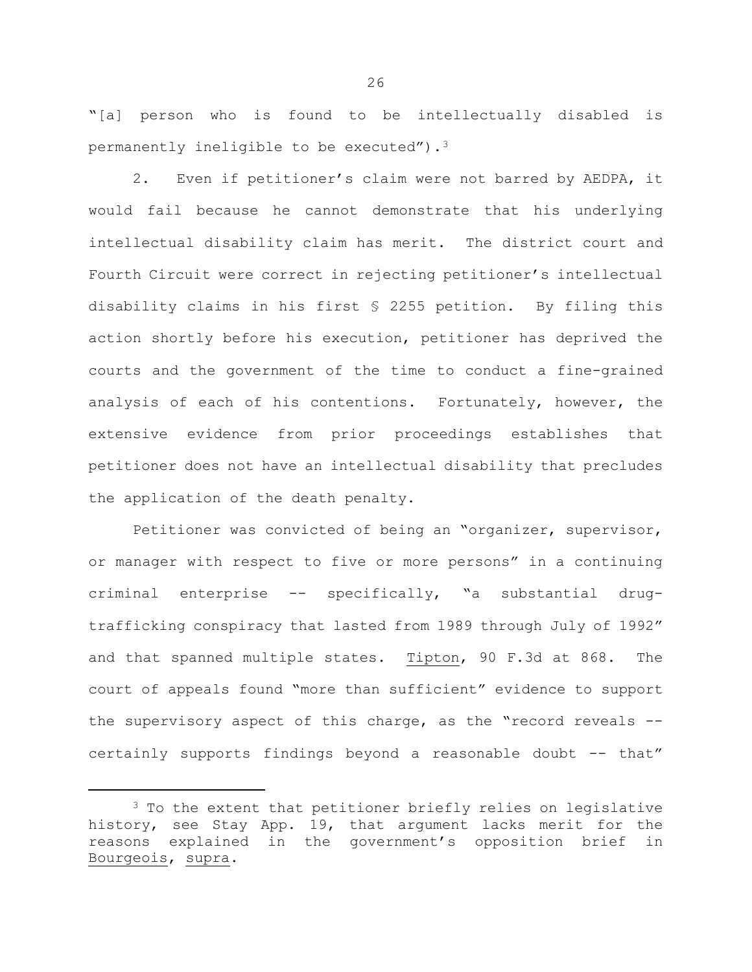"[a] person who is found to be intellectually disabled is permanently ineligible to be executed")[.3](#page-26-0)

2. Even if petitioner's claim were not barred by AEDPA, it would fail because he cannot demonstrate that his underlying intellectual disability claim has merit. The district court and Fourth Circuit were correct in rejecting petitioner's intellectual disability claims in his first § 2255 petition. By filing this action shortly before his execution, petitioner has deprived the courts and the government of the time to conduct a fine-grained analysis of each of his contentions. Fortunately, however, the extensive evidence from prior proceedings establishes that petitioner does not have an intellectual disability that precludes the application of the death penalty.

Petitioner was convicted of being an "organizer, supervisor, or manager with respect to five or more persons" in a continuing criminal enterprise -- specifically, "a substantial drugtrafficking conspiracy that lasted from 1989 through July of 1992" and that spanned multiple states. Tipton, 90 F.3d at 868. The court of appeals found "more than sufficient" evidence to support the supervisory aspect of this charge, as the "record reveals - certainly supports findings beyond a reasonable doubt -- that"

Ĩ.

<span id="page-26-0"></span><sup>&</sup>lt;sup>3</sup> To the extent that petitioner briefly relies on legislative history, see Stay App. 19, that argument lacks merit for the reasons explained in the government's opposition brief in Bourgeois, supra.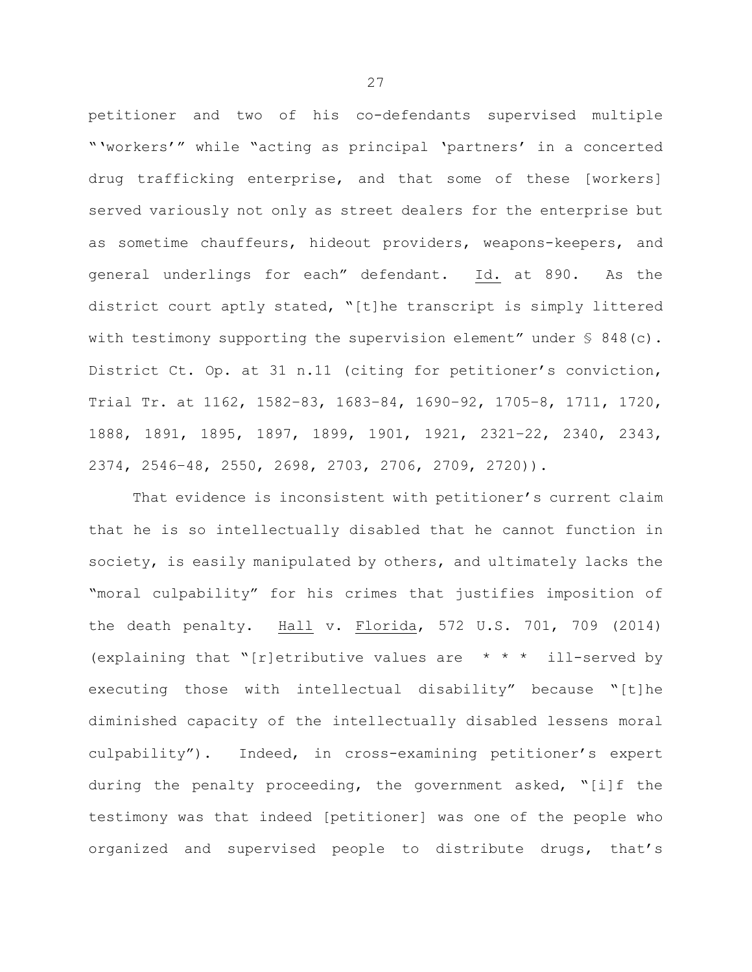petitioner and two of his co-defendants supervised multiple "'workers'" while "acting as principal 'partners' in a concerted drug trafficking enterprise, and that some of these [workers] served variously not only as street dealers for the enterprise but as sometime chauffeurs, hideout providers, weapons-keepers, and general underlings for each" defendant. Id. at 890. As the district court aptly stated, "[t]he transcript is simply littered with testimony supporting the supervision element" under  $\S$  848(c). District Ct. Op. at 31 n.11 (citing for petitioner's conviction, Trial Tr. at 1162, 1582–83, 1683–84, 1690–92, 1705–8, 1711, 1720, 1888, 1891, 1895, 1897, 1899, 1901, 1921, 2321–22, 2340, 2343, 2374, 2546–48, 2550, 2698, 2703, 2706, 2709, 2720)).

That evidence is inconsistent with petitioner's current claim that he is so intellectually disabled that he cannot function in society, is easily manipulated by others, and ultimately lacks the "moral culpability" for his crimes that justifies imposition of the death penalty. Hall v. Florida, 572 U.S. 701, 709 (2014) (explaining that "[r]etributive values are  $* * * ill$ -served by executing those with intellectual disability" because "[t]he diminished capacity of the intellectually disabled lessens moral culpability"). Indeed, in cross-examining petitioner's expert during the penalty proceeding, the government asked, "[i]f the testimony was that indeed [petitioner] was one of the people who organized and supervised people to distribute drugs, that's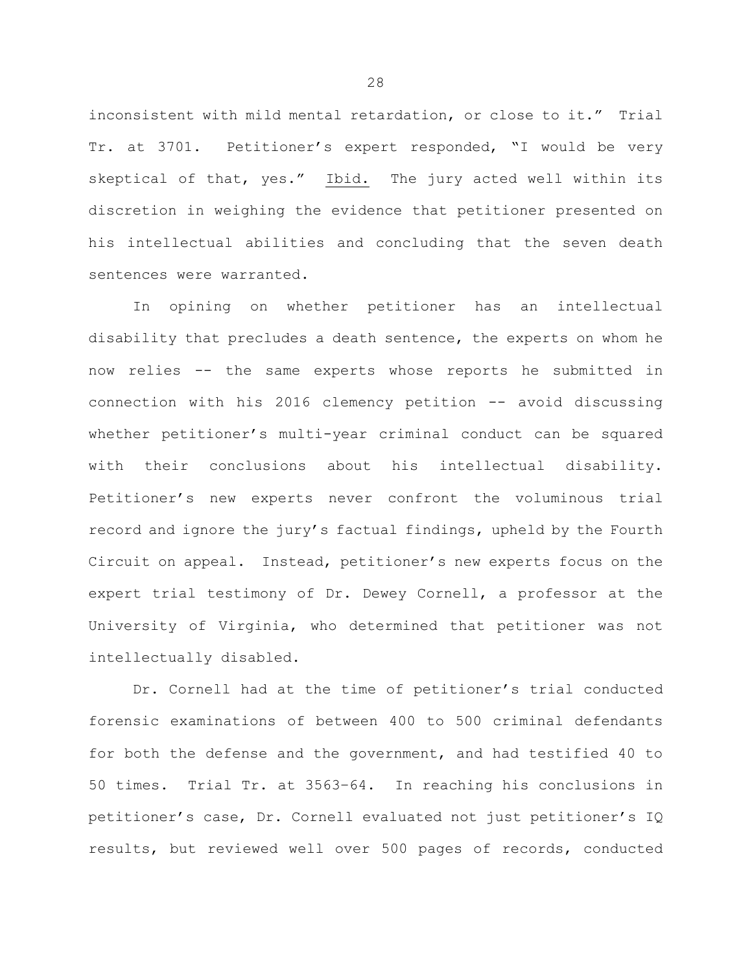inconsistent with mild mental retardation, or close to it." Trial Tr. at 3701. Petitioner's expert responded, "I would be very skeptical of that, yes." Ibid. The jury acted well within its discretion in weighing the evidence that petitioner presented on his intellectual abilities and concluding that the seven death sentences were warranted.

In opining on whether petitioner has an intellectual disability that precludes a death sentence, the experts on whom he now relies -- the same experts whose reports he submitted in connection with his 2016 clemency petition -- avoid discussing whether petitioner's multi-year criminal conduct can be squared with their conclusions about his intellectual disability. Petitioner's new experts never confront the voluminous trial record and ignore the jury's factual findings, upheld by the Fourth Circuit on appeal. Instead, petitioner's new experts focus on the expert trial testimony of Dr. Dewey Cornell, a professor at the University of Virginia, who determined that petitioner was not intellectually disabled.

Dr. Cornell had at the time of petitioner's trial conducted forensic examinations of between 400 to 500 criminal defendants for both the defense and the government, and had testified 40 to 50 times. Trial Tr. at 3563–64. In reaching his conclusions in petitioner's case, Dr. Cornell evaluated not just petitioner's IQ results, but reviewed well over 500 pages of records, conducted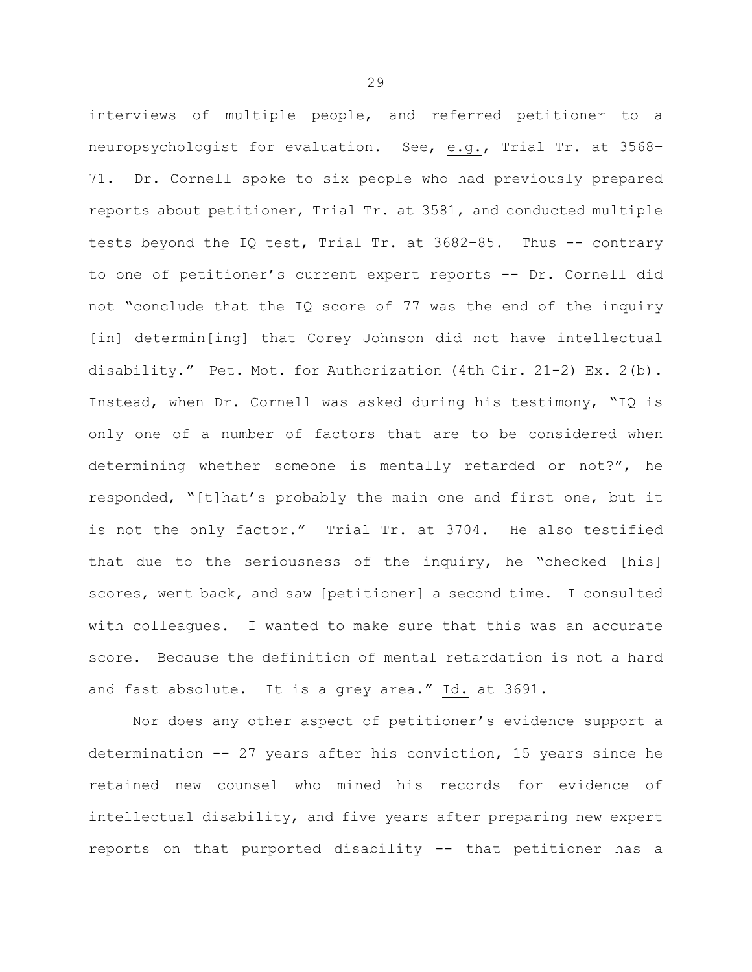interviews of multiple people, and referred petitioner to a neuropsychologist for evaluation. See, e.g., Trial Tr. at 3568– 71. Dr. Cornell spoke to six people who had previously prepared reports about petitioner, Trial Tr. at 3581, and conducted multiple tests beyond the IQ test, Trial Tr. at 3682–85. Thus -- contrary to one of petitioner's current expert reports -- Dr. Cornell did not "conclude that the IQ score of 77 was the end of the inquiry [in] determin[ing] that Corey Johnson did not have intellectual disability." Pet. Mot. for Authorization (4th Cir. 21-2) Ex. 2(b). Instead, when Dr. Cornell was asked during his testimony, "IQ is only one of a number of factors that are to be considered when determining whether someone is mentally retarded or not?", he responded, "[t]hat's probably the main one and first one, but it is not the only factor." Trial Tr. at 3704. He also testified that due to the seriousness of the inquiry, he "checked [his] scores, went back, and saw [petitioner] a second time. I consulted with colleagues. I wanted to make sure that this was an accurate score. Because the definition of mental retardation is not a hard and fast absolute. It is a grey area." Id. at 3691.

Nor does any other aspect of petitioner's evidence support a determination -- 27 years after his conviction, 15 years since he retained new counsel who mined his records for evidence of intellectual disability, and five years after preparing new expert reports on that purported disability -- that petitioner has a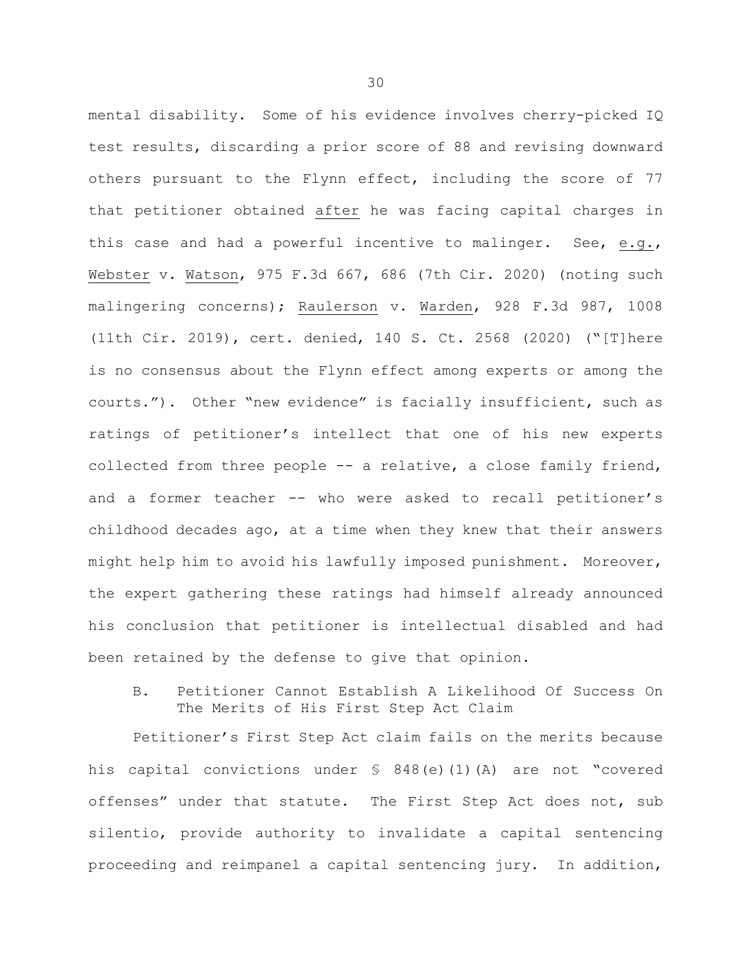mental disability. Some of his evidence involves cherry-picked IQ test results, discarding a prior score of 88 and revising downward others pursuant to the Flynn effect, including the score of 77 that petitioner obtained after he was facing capital charges in this case and had a powerful incentive to malinger. See, e.g., Webster v. Watson, 975 F.3d 667, 686 (7th Cir. 2020) (noting such malingering concerns); Raulerson v. Warden, 928 F.3d 987, 1008 (11th Cir. 2019), cert. denied, 140 S. Ct. 2568 (2020) ("[T]here is no consensus about the Flynn effect among experts or among the courts."). Other "new evidence" is facially insufficient, such as ratings of petitioner's intellect that one of his new experts collected from three people -- a relative, a close family friend, and a former teacher -- who were asked to recall petitioner's childhood decades ago, at a time when they knew that their answers might help him to avoid his lawfully imposed punishment. Moreover, the expert gathering these ratings had himself already announced his conclusion that petitioner is intellectual disabled and had been retained by the defense to give that opinion.

B. Petitioner Cannot Establish A Likelihood Of Success On The Merits of His First Step Act Claim

Petitioner's First Step Act claim fails on the merits because his capital convictions under § 848(e)(1)(A) are not "covered offenses" under that statute. The First Step Act does not, sub silentio, provide authority to invalidate a capital sentencing proceeding and reimpanel a capital sentencing jury. In addition,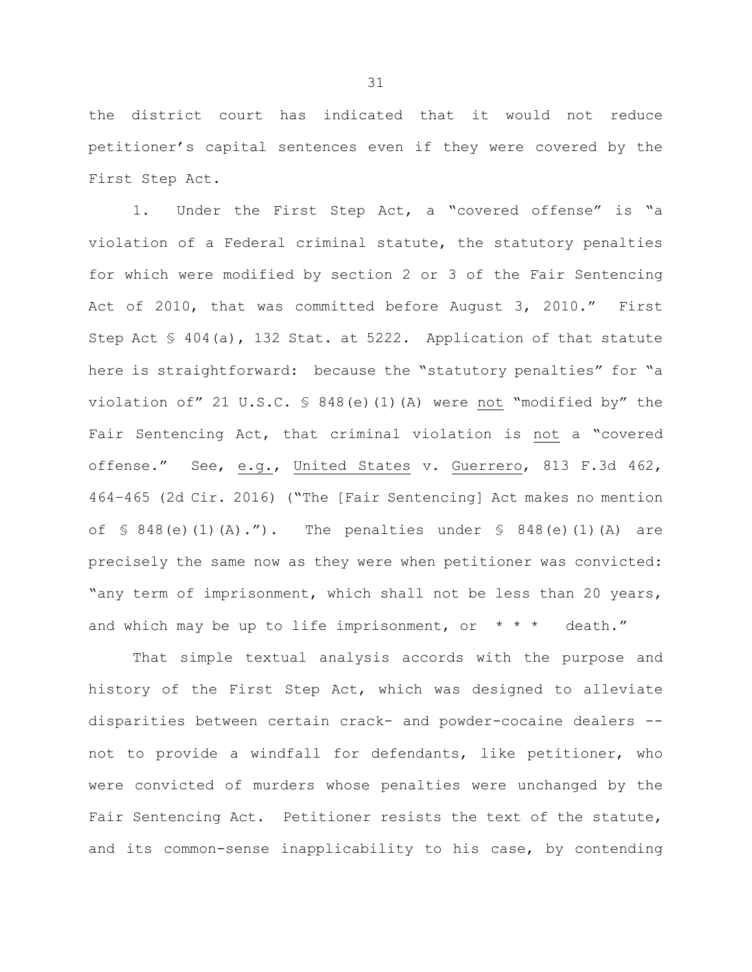the district court has indicated that it would not reduce petitioner's capital sentences even if they were covered by the First Step Act.

1. Under the First Step Act, a "covered offense" is "a violation of a Federal criminal statute, the statutory penalties for which were modified by section 2 or 3 of the Fair Sentencing Act of 2010, that was committed before August 3, 2010." First Step Act § 404(a), 132 Stat. at 5222. Application of that statute here is straightforward: because the "statutory penalties" for "a violation of" 21 U.S.C. § 848(e)(1)(A) were not "modified by" the Fair Sentencing Act, that criminal violation is not a "covered offense." See, e.g., United States v. Guerrero, 813 F.3d 462, 464–465 (2d Cir. 2016) ("The [Fair Sentencing] Act makes no mention of  $\{5\ 848(e)(1)(A) \cdot \$ "). The penalties under  $\{5\ 848(e)(1)(A)$  are precisely the same now as they were when petitioner was convicted: "any term of imprisonment, which shall not be less than 20 years, and which may be up to life imprisonment, or  $* * *$  death."

That simple textual analysis accords with the purpose and history of the First Step Act, which was designed to alleviate disparities between certain crack- and powder-cocaine dealers - not to provide a windfall for defendants, like petitioner, who were convicted of murders whose penalties were unchanged by the Fair Sentencing Act. Petitioner resists the text of the statute, and its common-sense inapplicability to his case, by contending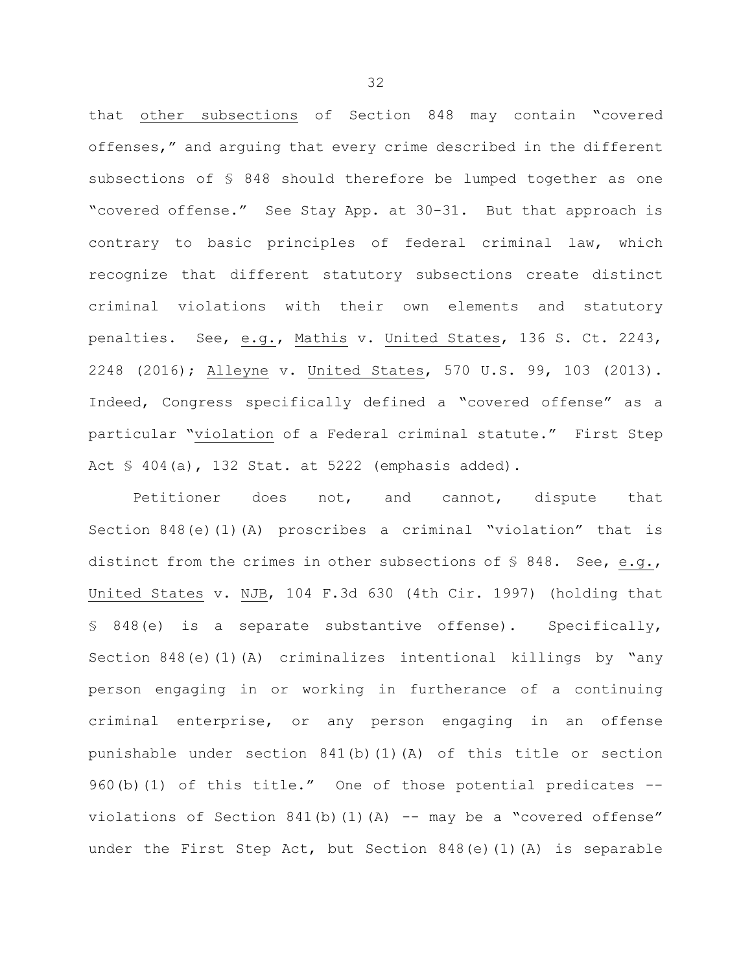that other subsections of Section 848 may contain "covered offenses," and arguing that every crime described in the different subsections of § 848 should therefore be lumped together as one "covered offense." See Stay App. at 30-31. But that approach is contrary to basic principles of federal criminal law, which recognize that different statutory subsections create distinct criminal violations with their own elements and statutory penalties. See, e.g., Mathis v. United States, 136 S. Ct. 2243, 2248 (2016); Alleyne v. United States, 570 U.S. 99, 103 (2013). Indeed, Congress specifically defined a "covered offense" as a particular "violation of a Federal criminal statute." First Step Act § 404(a), 132 Stat. at 5222 (emphasis added).

Petitioner does not, and cannot, dispute that Section 848(e)(1)(A) proscribes a criminal "violation" that is distinct from the crimes in other subsections of § 848. See, e.g., United States v. NJB, 104 F.3d 630 (4th Cir. 1997) (holding that § 848(e) is a separate substantive offense). Specifically, Section 848(e)(1)(A) criminalizes intentional killings by "any person engaging in or working in furtherance of a continuing criminal enterprise, or any person engaging in an offense punishable under section 841(b)(1)(A) of this title or section 960(b)(1) of this title." One of those potential predicates -violations of Section  $841(b)(1)(A)$  -- may be a "covered offense" under the First Step Act, but Section 848(e)(1)(A) is separable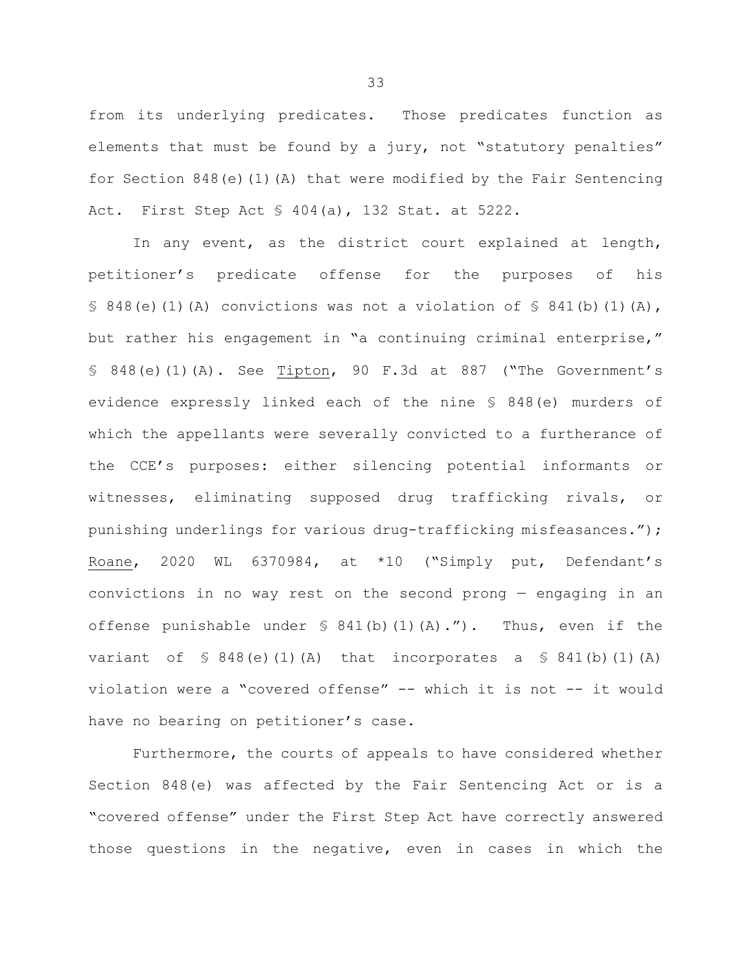from its underlying predicates. Those predicates function as elements that must be found by a jury, not "statutory penalties" for Section  $848(e)(1)(A)$  that were modified by the Fair Sentencing Act. First Step Act § 404(a), 132 Stat. at 5222.

In any event, as the district court explained at length, petitioner's predicate offense for the purposes of his § 848(e)(1)(A) convictions was not a violation of § 841(b)(1)(A), but rather his engagement in "a continuing criminal enterprise," § 848(e)(1)(A). See Tipton, 90 F.3d at 887 ("The Government's evidence expressly linked each of the nine § 848(e) murders of which the appellants were severally convicted to a furtherance of the CCE's purposes: either silencing potential informants or witnesses, eliminating supposed drug trafficking rivals, or punishing underlings for various drug-trafficking misfeasances."); Roane, 2020 WL 6370984, at \*10 ("Simply put, Defendant's convictions in no way rest on the second prong — engaging in an offense punishable under  $\frac{1}{2}$  841(b)(1)(A)."). Thus, even if the variant of  $\leq 848$  (e)(1)(A) that incorporates a  $\leq 841$  (b)(1)(A) violation were a "covered offense" -- which it is not -- it would have no bearing on petitioner's case.

Furthermore, the courts of appeals to have considered whether Section 848(e) was affected by the Fair Sentencing Act or is a "covered offense" under the First Step Act have correctly answered those questions in the negative, even in cases in which the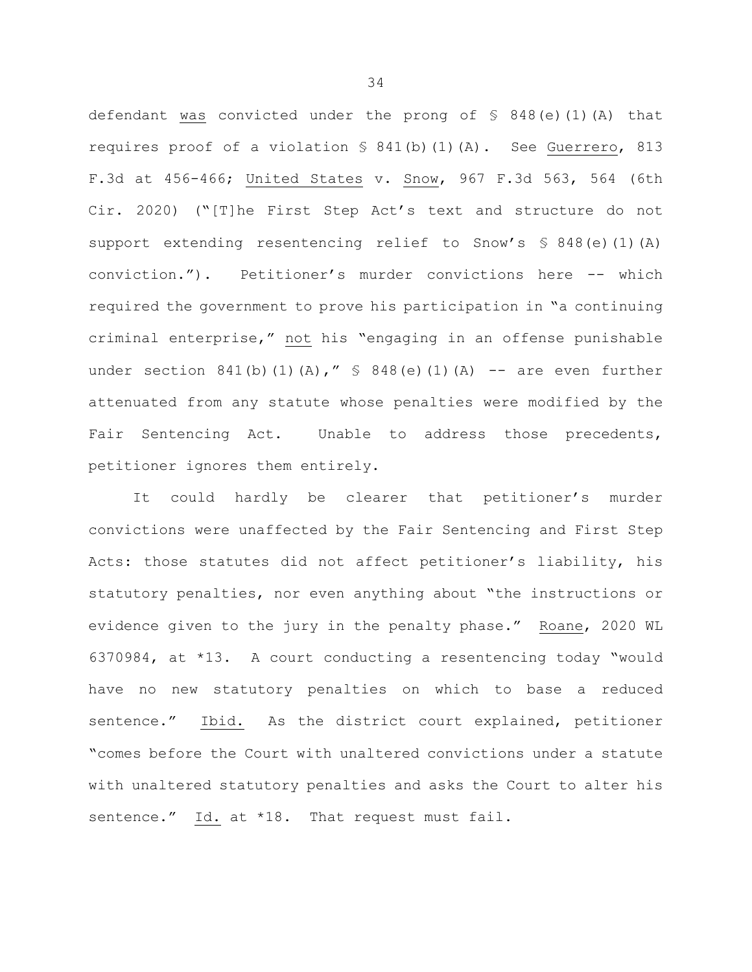defendant was convicted under the prong of § 848(e)(1)(A) that requires proof of a violation § 841(b)(1)(A). See Guerrero, 813 F.3d at 456-466; United States v. Snow, 967 F.3d 563, 564 (6th Cir. 2020) ("[T]he First Step Act's text and structure do not support extending resentencing relief to Snow's § 848(e)(1)(A) conviction."). Petitioner's murder convictions here -- which required the government to prove his participation in "a continuing criminal enterprise," not his "engaging in an offense punishable under section 841(b)(1)(A),"  $\frac{1}{5}$  848(e)(1)(A) -- are even further attenuated from any statute whose penalties were modified by the Fair Sentencing Act. Unable to address those precedents, petitioner ignores them entirely.

It could hardly be clearer that petitioner's murder convictions were unaffected by the Fair Sentencing and First Step Acts: those statutes did not affect petitioner's liability, his statutory penalties, nor even anything about "the instructions or evidence given to the jury in the penalty phase." Roane, 2020 WL 6370984, at \*13. A court conducting a resentencing today "would have no new statutory penalties on which to base a reduced sentence." Ibid. As the district court explained, petitioner "comes before the Court with unaltered convictions under a statute with unaltered statutory penalties and asks the Court to alter his sentence." Id. at \*18. That request must fail.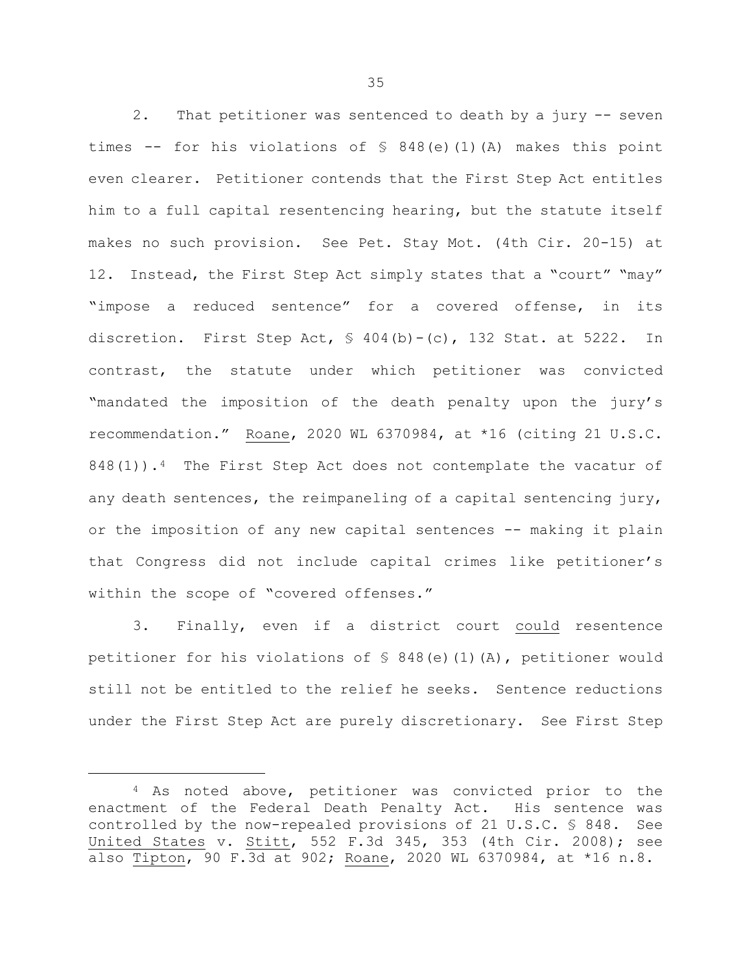2. That petitioner was sentenced to death by a jury -- seven times -- for his violations of  $\frac{1}{2}$  848(e)(1)(A) makes this point even clearer. Petitioner contends that the First Step Act entitles him to a full capital resentencing hearing, but the statute itself makes no such provision. See Pet. Stay Mot. (4th Cir. 20-15) at 12. Instead, the First Step Act simply states that a "court" "may" "impose a reduced sentence" for a covered offense, in its discretion. First Step Act,  $\frac{1}{2}$  404(b)-(c), 132 Stat. at 5222. In contrast, the statute under which petitioner was convicted "mandated the imposition of the death penalty upon the jury's recommendation." Roane, 2020 WL 6370984, at \*16 (citing 21 U.S.C.  $848(1)$  $848(1)$  $848(1)$ ).<sup>4</sup> The First Step Act does not contemplate the vacatur of any death sentences, the reimpaneling of a capital sentencing jury, or the imposition of any new capital sentences -- making it plain that Congress did not include capital crimes like petitioner's within the scope of "covered offenses."

3. Finally, even if a district court could resentence petitioner for his violations of  $\frac{1}{2}$  848(e)(1)(A), petitioner would still not be entitled to the relief he seeks. Sentence reductions under the First Step Act are purely discretionary. See First Step

Ĩ.

<span id="page-35-0"></span><sup>4</sup> As noted above, petitioner was convicted prior to the enactment of the Federal Death Penalty Act. His sentence was controlled by the now-repealed provisions of 21 U.S.C. § 848. See United States v. Stitt, 552 F.3d 345, 353 (4th Cir. 2008); see also Tipton, 90 F.3d at 902; Roane, 2020 WL 6370984, at \*16 n.8.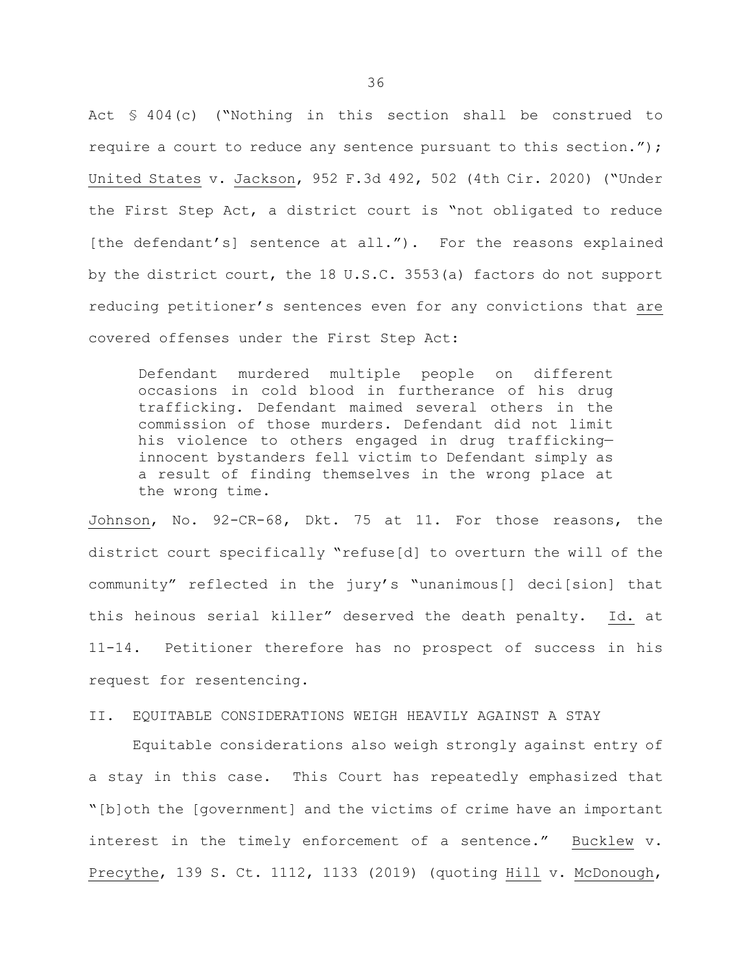Act § 404(c) ("Nothing in this section shall be construed to require a court to reduce any sentence pursuant to this section."); United States v. Jackson, 952 F.3d 492, 502 (4th Cir. 2020) ("Under the First Step Act, a district court is "not obligated to reduce [the defendant's] sentence at all."). For the reasons explained by the district court, the 18 U.S.C. 3553(a) factors do not support reducing petitioner's sentences even for any convictions that are covered offenses under the First Step Act:

Defendant murdered multiple people on different occasions in cold blood in furtherance of his drug trafficking. Defendant maimed several others in the commission of those murders. Defendant did not limit his violence to others engaged in drug trafficking innocent bystanders fell victim to Defendant simply as a result of finding themselves in the wrong place at the wrong time.

Johnson, No. 92-CR-68, Dkt. 75 at 11. For those reasons, the district court specifically "refuse[d] to overturn the will of the community" reflected in the jury's "unanimous[] deci[sion] that this heinous serial killer" deserved the death penalty. Id. at 11-14. Petitioner therefore has no prospect of success in his request for resentencing.

### II. EQUITABLE CONSIDERATIONS WEIGH HEAVILY AGAINST A STAY

Equitable considerations also weigh strongly against entry of a stay in this case. This Court has repeatedly emphasized that "[b]oth the [government] and the victims of crime have an important interest in the timely enforcement of a sentence." Bucklew v. Precythe, 139 S. Ct. 1112, 1133 (2019) (quoting Hill v. McDonough,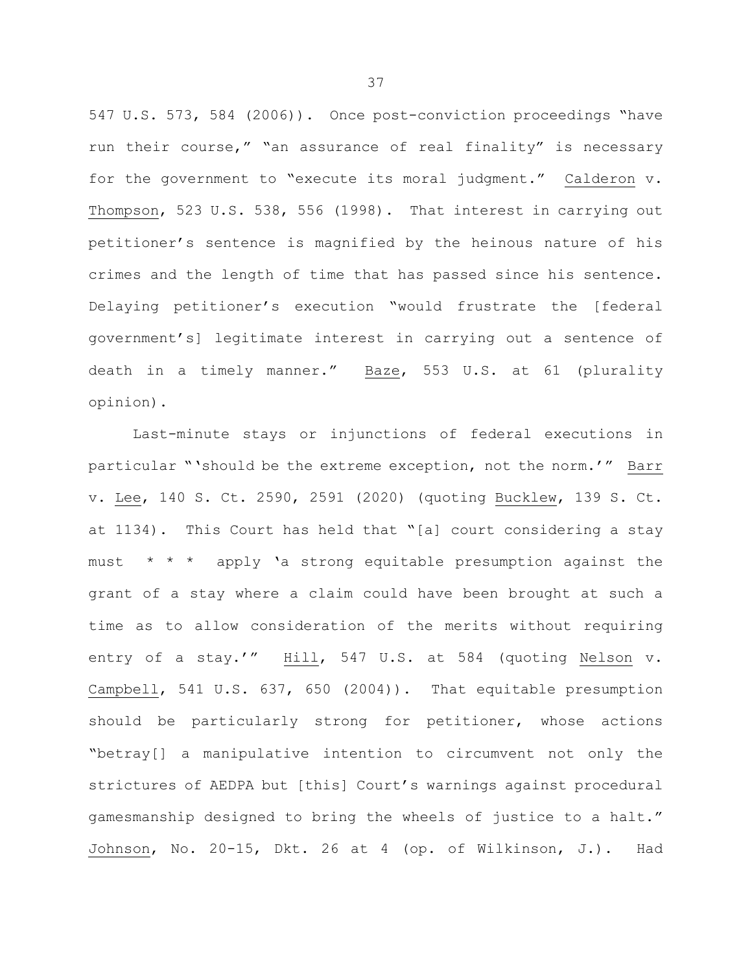547 U.S. 573, 584 (2006)). Once post-conviction proceedings "have run their course," "an assurance of real finality" is necessary for the government to "execute its moral judgment." Calderon v. Thompson, 523 U.S. 538, 556 (1998). That interest in carrying out petitioner's sentence is magnified by the heinous nature of his crimes and the length of time that has passed since his sentence. Delaying petitioner's execution "would frustrate the [federal government's] legitimate interest in carrying out a sentence of death in a timely manner." Baze, 553 U.S. at 61 (plurality opinion).

Last-minute stays or injunctions of federal executions in particular "'should be the extreme exception, not the norm.'" Barr v. Lee, 140 S. Ct. 2590, 2591 (2020) (quoting Bucklew, 139 S. Ct. at 1134). This Court has held that "[a] court considering a stay must  $* * *$  apply 'a strong equitable presumption against the grant of a stay where a claim could have been brought at such a time as to allow consideration of the merits without requiring entry of a stay.'" Hill, 547 U.S. at 584 (quoting Nelson v. Campbell, 541 U.S. 637, 650 (2004)). That equitable presumption should be particularly strong for petitioner, whose actions "betray[] a manipulative intention to circumvent not only the strictures of AEDPA but [this] Court's warnings against procedural gamesmanship designed to bring the wheels of justice to a halt." Johnson, No. 20-15, Dkt. 26 at 4 (op. of Wilkinson, J.). Had